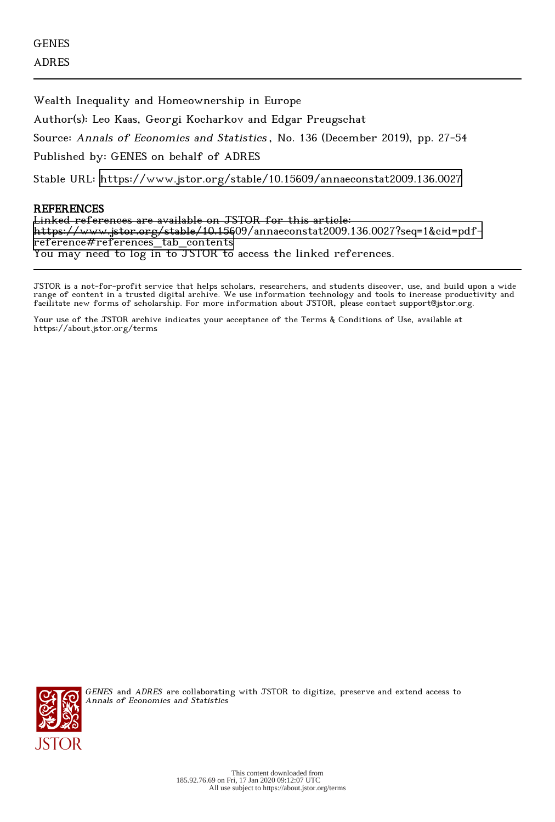Wealth Inequality and Homeownership in Europe

Author(s): Leo Kaas, Georgi Kocharkov and Edgar Preugschat

Source: Annals of Economics and Statistics , No. 136 (December 2019), pp. 27-54

Published by: GENES on behalf of ADRES

Stable URL:<https://www.jstor.org/stable/10.15609/annaeconstat2009.136.0027>

# **REFERENCES**

Linked references are available on JSTOR for this article: [https://www.jstor.org/stable/10.15609/annaeconstat2009.136.0027?seq=1&cid=pdf](https://www.jstor.org/stable/10.15609/annaeconstat2009.136.0027?seq=1&cid=pdf-reference#references_tab_contents)[reference#references\\_tab\\_contents](https://www.jstor.org/stable/10.15609/annaeconstat2009.136.0027?seq=1&cid=pdf-reference#references_tab_contents) You may need to log in to JSTOR to access the linked references.

JSTOR is a not-for-profit service that helps scholars, researchers, and students discover, use, and build upon a wide range of content in a trusted digital archive. We use information technology and tools to increase productivity and facilitate new forms of scholarship. For more information about JSTOR, please contact support@jstor.org.

Your use of the JSTOR archive indicates your acceptance of the Terms & Conditions of Use, available at https://about.jstor.org/terms



GENES and ADRES are collaborating with JSTOR to digitize, preserve and extend access to Annals of Economics and Statistics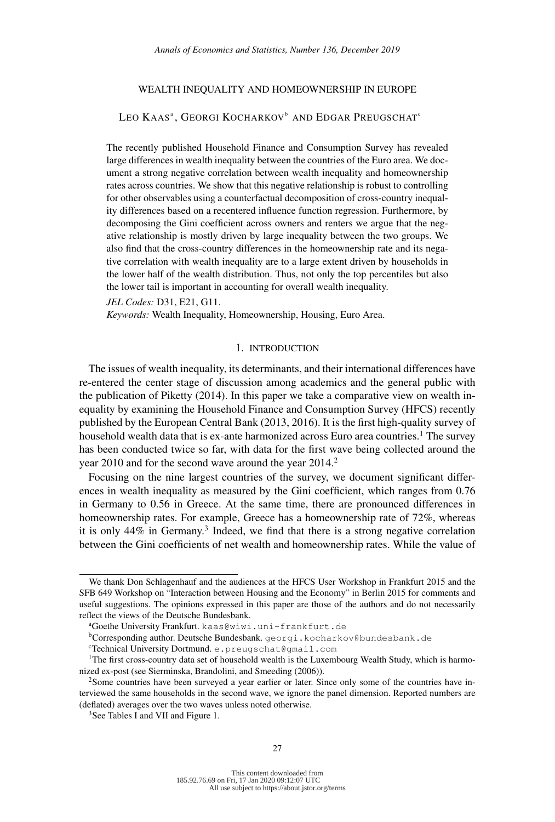# WEALTH INEQUALITY AND HOMEOWNERSHIP IN EUROPE

# Leo Kaasª, Georgi Kocharkovʰ and Edgar Preugschat°

The recently published Household Finance and Consumption Survey has revealed large differences in wealth inequality between the countries of the Euro area. We document a strong negative correlation between wealth inequality and homeownership rates across countries. We show that this negative relationship is robust to controlling for other observables using a counterfactual decomposition of cross-country inequality differences based on a recentered influence function regression. Furthermore, by decomposing the Gini coefficient across owners and renters we argue that the negative relationship is mostly driven by large inequality between the two groups. We also find that the cross-country differences in the homeownership rate and its negative correlation with wealth inequality are to a large extent driven by households in the lower half of the wealth distribution. Thus, not only the top percentiles but also the lower tail is important in accounting for overall wealth inequality.

*JEL Codes:* D31, E21, G11.

*Keywords:* Wealth Inequality, Homeownership, Housing, Euro Area.

# 1. INTRODUCTION

The issues of wealth inequality, its determinants, and their international differences have re-entered the center stage of discussion among academics and the general public with the publication of Piketty (2014). In this paper we take a comparative view on wealth inequality by examining the Household Finance and Consumption Survey (HFCS) recently published by the European Central Bank (2013, 2016). It is the first high-quality survey of household wealth data that is ex-ante harmonized across Euro area countries.<sup>1</sup> The survey has been conducted twice so far, with data for the first wave being collected around the year 2010 and for the second wave around the year 2014.<sup>2</sup>

Focusing on the nine largest countries of the survey, we document significant differences in wealth inequality as measured by the Gini coefficient, which ranges from 0.76 in Germany to 0.56 in Greece. At the same time, there are pronounced differences in homeownership rates. For example, Greece has a homeownership rate of 72%, whereas it is only 44% in Germany.<sup>3</sup> Indeed, we find that there is a strong negative correlation between the Gini coefficients of net wealth and homeownership rates. While the value of

We thank Don Schlagenhauf and the audiences at the HFCS User Workshop in Frankfurt 2015 and the SFB 649 Workshop on "Interaction between Housing and the Economy" in Berlin 2015 for comments and useful suggestions. The opinions expressed in this paper are those of the authors and do not necessarily reflect the views of the Deutsche Bundesbank.

<sup>a</sup>Goethe University Frankfurt. [kaas@wiwi.uni-frankfurt.de](mailto:kaas@wiwi.uni-frankfurt.de)

bCorresponding author. Deutsche Bundesbank. [georgi.kocharkov@bundesbank.de](mailto:georgi.kocharkov@bundesbank.de)

<sup>c</sup>Technical University Dortmund. [e.preugschat@gmail.com](mailto:e.preugschat@gmail.com)

<sup>&</sup>lt;sup>1</sup>The first cross-country data set of household wealth is the Luxembourg Wealth Study, which is harmonized ex-post (see Sierminska, Brandolini, and Smeeding (2006)).

<sup>&</sup>lt;sup>2</sup>Some countries have been surveyed a year earlier or later. Since only some of the countries have interviewed the same households in the second wave, we ignore the panel dimension. Reported numbers are (deflated) averages over the two waves unless noted otherwise.

<sup>&</sup>lt;sup>3</sup>See Tables I and VII and Figure 1.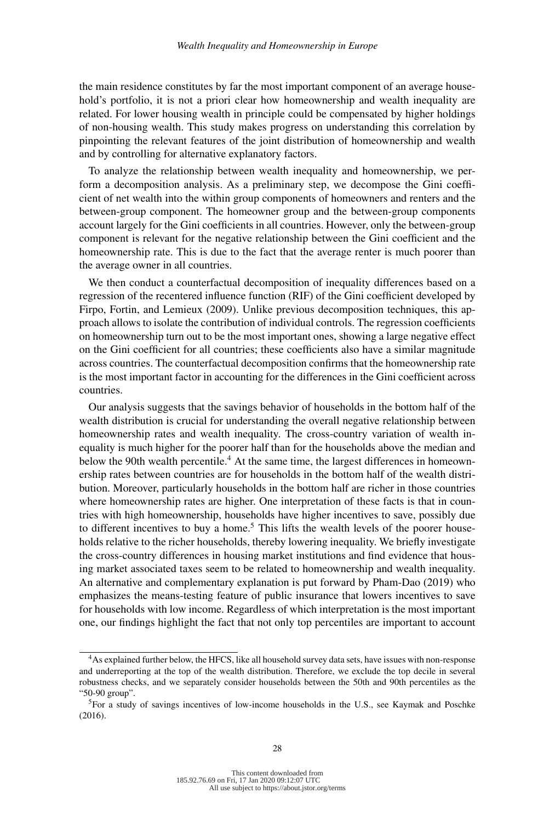the main residence constitutes by far the most important component of an average household's portfolio, it is not a priori clear how homeownership and wealth inequality are related. For lower housing wealth in principle could be compensated by higher holdings of non-housing wealth. This study makes progress on understanding this correlation by pinpointing the relevant features of the joint distribution of homeownership and wealth and by controlling for alternative explanatory factors.

To analyze the relationship between wealth inequality and homeownership, we perform a decomposition analysis. As a preliminary step, we decompose the Gini coefficient of net wealth into the within group components of homeowners and renters and the between-group component. The homeowner group and the between-group components account largely for the Gini coefficients in all countries. However, only the between-group component is relevant for the negative relationship between the Gini coefficient and the homeownership rate. This is due to the fact that the average renter is much poorer than the average owner in all countries.

We then conduct a counterfactual decomposition of inequality differences based on a regression of the recentered influence function (RIF) of the Gini coefficient developed by Firpo, Fortin, and Lemieux (2009). Unlike previous decomposition techniques, this approach allows to isolate the contribution of individual controls. The regression coefficients on homeownership turn out to be the most important ones, showing a large negative effect on the Gini coefficient for all countries; these coefficients also have a similar magnitude across countries. The counterfactual decomposition confirms that the homeownership rate is the most important factor in accounting for the differences in the Gini coefficient across countries.

Our analysis suggests that the savings behavior of households in the bottom half of the wealth distribution is crucial for understanding the overall negative relationship between homeownership rates and wealth inequality. The cross-country variation of wealth inequality is much higher for the poorer half than for the households above the median and below the 90th wealth percentile.<sup>4</sup> At the same time, the largest differences in homeownership rates between countries are for households in the bottom half of the wealth distribution. Moreover, particularly households in the bottom half are richer in those countries where homeownership rates are higher. One interpretation of these facts is that in countries with high homeownership, households have higher incentives to save, possibly due to different incentives to buy a home.<sup>5</sup> This lifts the wealth levels of the poorer households relative to the richer households, thereby lowering inequality. We briefly investigate the cross-country differences in housing market institutions and find evidence that housing market associated taxes seem to be related to homeownership and wealth inequality. An alternative and complementary explanation is put forward by Pham-Dao (2019) who emphasizes the means-testing feature of public insurance that lowers incentives to save for households with low income. Regardless of which interpretation is the most important one, our findings highlight the fact that not only top percentiles are important to account

<sup>&</sup>lt;sup>4</sup>As explained further below, the HFCS, like all household survey data sets, have issues with non-response and underreporting at the top of the wealth distribution. Therefore, we exclude the top decile in several robustness checks, and we separately consider households between the 50th and 90th percentiles as the "50-90 group".

<sup>5</sup>For a study of savings incentives of low-income households in the U.S., see Kaymak and Poschke (2016).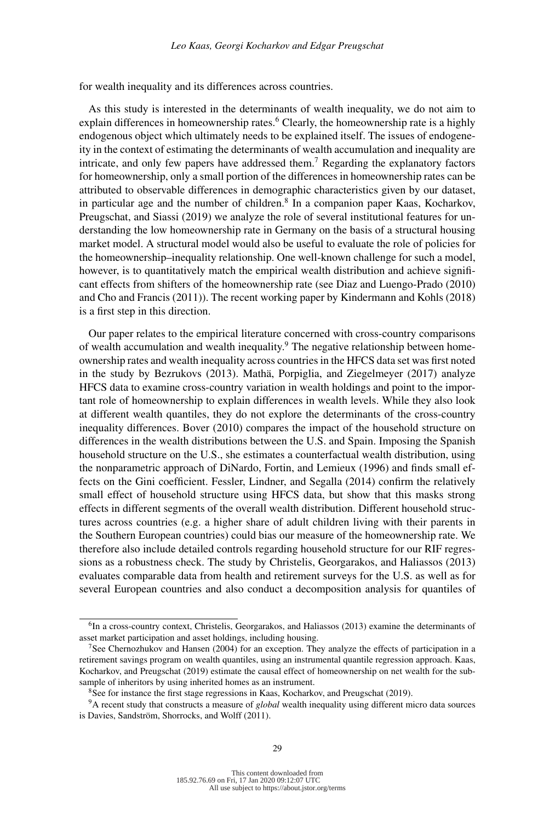for wealth inequality and its differences across countries.

As this study is interested in the determinants of wealth inequality, we do not aim to explain differences in homeownership rates.<sup>6</sup> Clearly, the homeownership rate is a highly endogenous object which ultimately needs to be explained itself. The issues of endogeneity in the context of estimating the determinants of wealth accumulation and inequality are intricate, and only few papers have addressed them.<sup>7</sup> Regarding the explanatory factors for homeownership, only a small portion of the differences in homeownership rates can be attributed to observable differences in demographic characteristics given by our dataset, in particular age and the number of children.<sup>8</sup> In a companion paper Kaas, Kocharkov, Preugschat, and Siassi (2019) we analyze the role of several institutional features for understanding the low homeownership rate in Germany on the basis of a structural housing market model. A structural model would also be useful to evaluate the role of policies for the homeownership–inequality relationship. One well-known challenge for such a model, however, is to quantitatively match the empirical wealth distribution and achieve significant effects from shifters of the homeownership rate (see Diaz and Luengo-Prado (2010) and Cho and Francis (2011)). The recent working paper by Kindermann and Kohls (2018) is a first step in this direction.

Our paper relates to the empirical literature concerned with cross-country comparisons of wealth accumulation and wealth inequality.<sup>9</sup> The negative relationship between homeownership rates and wealth inequality across countries in the HFCS data set was first noted in the study by Bezrukovs (2013). Mathä, Porpiglia, and Ziegelmeyer (2017) analyze HFCS data to examine cross-country variation in wealth holdings and point to the important role of homeownership to explain differences in wealth levels. While they also look at different wealth quantiles, they do not explore the determinants of the cross-country inequality differences. Bover (2010) compares the impact of the household structure on differences in the wealth distributions between the U.S. and Spain. Imposing the Spanish household structure on the U.S., she estimates a counterfactual wealth distribution, using the nonparametric approach of DiNardo, Fortin, and Lemieux (1996) and finds small effects on the Gini coefficient. Fessler, Lindner, and Segalla (2014) confirm the relatively small effect of household structure using HFCS data, but show that this masks strong effects in different segments of the overall wealth distribution. Different household structures across countries (e.g. a higher share of adult children living with their parents in the Southern European countries) could bias our measure of the homeownership rate. We therefore also include detailed controls regarding household structure for our RIF regressions as a robustness check. The study by Christelis, Georgarakos, and Haliassos (2013) evaluates comparable data from health and retirement surveys for the U.S. as well as for several European countries and also conduct a decomposition analysis for quantiles of

<sup>&</sup>lt;sup>6</sup>In a cross-country context, Christelis, Georgarakos, and Haliassos (2013) examine the determinants of asset market participation and asset holdings, including housing.

<sup>7</sup>See Chernozhukov and Hansen (2004) for an exception. They analyze the effects of participation in a retirement savings program on wealth quantiles, using an instrumental quantile regression approach. Kaas, Kocharkov, and Preugschat (2019) estimate the causal effect of homeownership on net wealth for the subsample of inheritors by using inherited homes as an instrument.

<sup>&</sup>lt;sup>8</sup>See for instance the first stage regressions in Kaas, Kocharkov, and Preugschat (2019).

<sup>9</sup>A recent study that constructs a measure of *global* wealth inequality using different micro data sources is Davies, Sandström, Shorrocks, and Wolff (2011).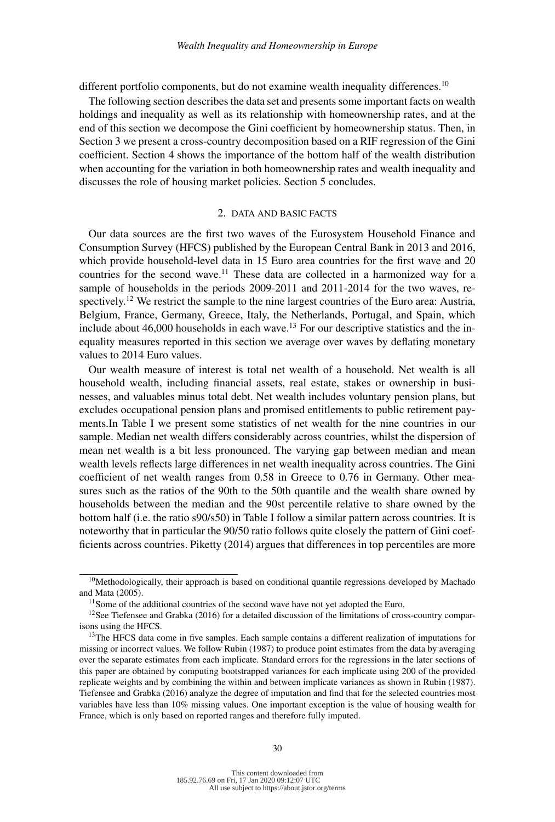different portfolio components, but do not examine wealth inequality differences.<sup>10</sup>

The following section describes the data set and presents some important facts on wealth holdings and inequality as well as its relationship with homeownership rates, and at the end of this section we decompose the Gini coefficient by homeownership status. Then, in Section 3 we present a cross-country decomposition based on a RIF regression of the Gini coefficient. Section 4 shows the importance of the bottom half of the wealth distribution when accounting for the variation in both homeownership rates and wealth inequality and discusses the role of housing market policies. Section 5 concludes.

## 2. DATA AND BASIC FACTS

Our data sources are the first two waves of the Eurosystem Household Finance and Consumption Survey (HFCS) published by the European Central Bank in 2013 and 2016, which provide household-level data in 15 Euro area countries for the first wave and 20 countries for the second wave.<sup>11</sup> These data are collected in a harmonized way for a sample of households in the periods 2009-2011 and 2011-2014 for the two waves, respectively.<sup>12</sup> We restrict the sample to the nine largest countries of the Euro area: Austria, Belgium, France, Germany, Greece, Italy, the Netherlands, Portugal, and Spain, which include about  $46,000$  households in each wave.<sup>13</sup> For our descriptive statistics and the inequality measures reported in this section we average over waves by deflating monetary values to 2014 Euro values.

Our wealth measure of interest is total net wealth of a household. Net wealth is all household wealth, including financial assets, real estate, stakes or ownership in businesses, and valuables minus total debt. Net wealth includes voluntary pension plans, but excludes occupational pension plans and promised entitlements to public retirement payments.In Table I we present some statistics of net wealth for the nine countries in our sample. Median net wealth differs considerably across countries, whilst the dispersion of mean net wealth is a bit less pronounced. The varying gap between median and mean wealth levels reflects large differences in net wealth inequality across countries. The Gini coefficient of net wealth ranges from 0.58 in Greece to 0.76 in Germany. Other measures such as the ratios of the 90th to the 50th quantile and the wealth share owned by households between the median and the 90st percentile relative to share owned by the bottom half (i.e. the ratio s90/s50) in Table I follow a similar pattern across countries. It is noteworthy that in particular the 90/50 ratio follows quite closely the pattern of Gini coefficients across countries. Piketty (2014) argues that differences in top percentiles are more

<sup>&</sup>lt;sup>10</sup>Methodologically, their approach is based on conditional quantile regressions developed by Machado and Mata (2005).

<sup>&</sup>lt;sup>11</sup> Some of the additional countries of the second wave have not yet adopted the Euro.

<sup>&</sup>lt;sup>12</sup>See Tiefensee and Grabka (2016) for a detailed discussion of the limitations of cross-country comparisons using the HFCS.

<sup>&</sup>lt;sup>13</sup>The HFCS data come in five samples. Each sample contains a different realization of imputations for missing or incorrect values. We follow Rubin (1987) to produce point estimates from the data by averaging over the separate estimates from each implicate. Standard errors for the regressions in the later sections of this paper are obtained by computing bootstrapped variances for each implicate using 200 of the provided replicate weights and by combining the within and between implicate variances as shown in Rubin (1987). Tiefensee and Grabka (2016) analyze the degree of imputation and find that for the selected countries most variables have less than 10% missing values. One important exception is the value of housing wealth for France, which is only based on reported ranges and therefore fully imputed.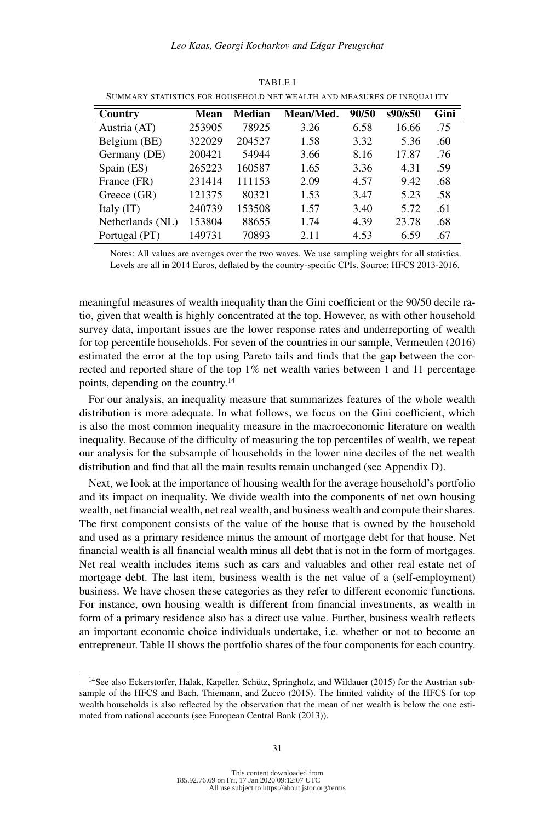| Country          | Mean   | <b>Median</b> | Mean/Med. | 90/50 | s90/s50 | Gini |
|------------------|--------|---------------|-----------|-------|---------|------|
| Austria (AT)     | 253905 | 78925         | 3.26      | 6.58  | 16.66   | .75  |
| Belgium (BE)     | 322029 | 204527        | 1.58      | 3.32  | 5.36    | .60  |
| Germany (DE)     | 200421 | 54944         | 3.66      | 8.16  | 17.87   | .76  |
| Spain (ES)       | 265223 | 160587        | 1.65      | 3.36  | 4.31    | .59  |
| France (FR)      | 231414 | 111153        | 2.09      | 4.57  | 9.42    | .68  |
| Greece (GR)      | 121375 | 80321         | 1.53      | 3.47  | 5.23    | .58  |
| Italy (IT)       | 240739 | 153508        | 1.57      | 3.40  | 5.72    | .61  |
| Netherlands (NL) | 153804 | 88655         | 1.74      | 4.39  | 23.78   | .68  |
| Portugal (PT)    | 149731 | 70893         | 2.11      | 4.53  | 6.59    | .67  |

TABLE I SUMMARY STATISTICS FOR HOUSEHOLD NET WEALTH AND MEASURES OF INEQUALITY

Notes: All values are averages over the two waves. We use sampling weights for all statistics. Levels are all in 2014 Euros, deflated by the country-specific CPIs. Source: HFCS 2013-2016.

meaningful measures of wealth inequality than the Gini coefficient or the 90/50 decile ratio, given that wealth is highly concentrated at the top. However, as with other household survey data, important issues are the lower response rates and underreporting of wealth for top percentile households. For seven of the countries in our sample, Vermeulen (2016) estimated the error at the top using Pareto tails and finds that the gap between the corrected and reported share of the top 1% net wealth varies between 1 and 11 percentage points, depending on the country.14

For our analysis, an inequality measure that summarizes features of the whole wealth distribution is more adequate. In what follows, we focus on the Gini coefficient, which is also the most common inequality measure in the macroeconomic literature on wealth inequality. Because of the difficulty of measuring the top percentiles of wealth, we repeat our analysis for the subsample of households in the lower nine deciles of the net wealth distribution and find that all the main results remain unchanged (see Appendix D).

Next, we look at the importance of housing wealth for the average household's portfolio and its impact on inequality. We divide wealth into the components of net own housing wealth, net financial wealth, net real wealth, and business wealth and compute their shares. The first component consists of the value of the house that is owned by the household and used as a primary residence minus the amount of mortgage debt for that house. Net financial wealth is all financial wealth minus all debt that is not in the form of mortgages. Net real wealth includes items such as cars and valuables and other real estate net of mortgage debt. The last item, business wealth is the net value of a (self-employment) business. We have chosen these categories as they refer to different economic functions. For instance, own housing wealth is different from financial investments, as wealth in form of a primary residence also has a direct use value. Further, business wealth reflects an important economic choice individuals undertake, i.e. whether or not to become an entrepreneur. Table II shows the portfolio shares of the four components for each country.

<sup>14</sup>See also Eckerstorfer, Halak, Kapeller, Schütz, Springholz, and Wildauer (2015) for the Austrian subsample of the HFCS and Bach, Thiemann, and Zucco (2015). The limited validity of the HFCS for top wealth households is also reflected by the observation that the mean of net wealth is below the one estimated from national accounts (see European Central Bank (2013)).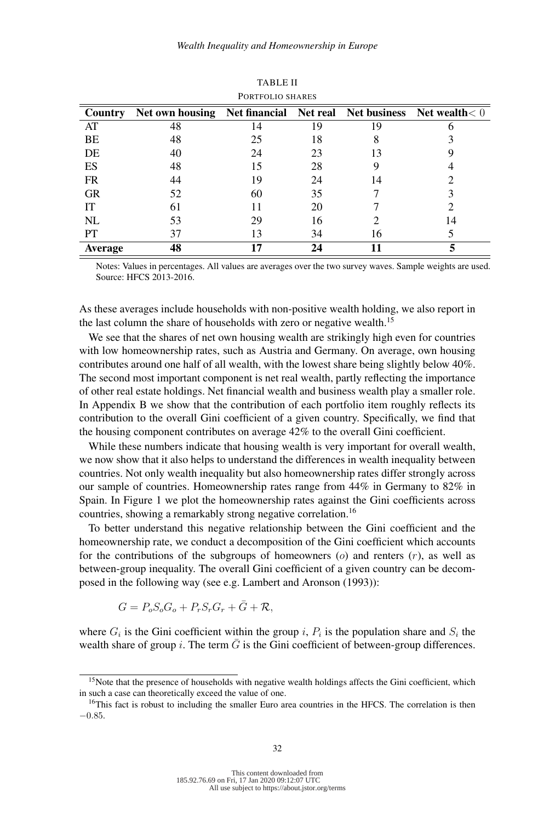|                |                                                                      | T URIFULIU SHARES |    |    |    |
|----------------|----------------------------------------------------------------------|-------------------|----|----|----|
| Country        | Net own housing Net financial Net real Net business Net wealth $< 0$ |                   |    |    |    |
| AT             | 48                                                                   | 14                | 19 | 19 |    |
| BE             | 48                                                                   | 25                | 18 | 8  |    |
| DE             | 40                                                                   | 24                | 23 | 13 |    |
| ES             | 48                                                                   | 15                | 28 |    |    |
| <b>FR</b>      | 44                                                                   | 19                | 24 | 14 |    |
| <b>GR</b>      | 52                                                                   | 60                | 35 |    |    |
| IT             | 61                                                                   |                   | 20 |    |    |
| NL             | 53                                                                   | 29                | 16 |    | 14 |
| <b>PT</b>      | 37                                                                   | 13                | 34 | 16 |    |
| <b>Average</b> | 48                                                                   | 17                | 24 |    |    |

TABLE II PORTFOLIO SHARES

Notes: Values in percentages. All values are averages over the two survey waves. Sample weights are used. Source: HFCS 2013-2016.

As these averages include households with non-positive wealth holding, we also report in the last column the share of households with zero or negative wealth.<sup>15</sup>

We see that the shares of net own housing wealth are strikingly high even for countries with low homeownership rates, such as Austria and Germany. On average, own housing contributes around one half of all wealth, with the lowest share being slightly below 40%. The second most important component is net real wealth, partly reflecting the importance of other real estate holdings. Net financial wealth and business wealth play a smaller role. In Appendix B we show that the contribution of each portfolio item roughly reflects its contribution to the overall Gini coefficient of a given country. Specifically, we find that the housing component contributes on average 42% to the overall Gini coefficient.

While these numbers indicate that housing wealth is very important for overall wealth, we now show that it also helps to understand the differences in wealth inequality between countries. Not only wealth inequality but also homeownership rates differ strongly across our sample of countries. Homeownership rates range from 44% in Germany to 82% in Spain. In Figure 1 we plot the homeownership rates against the Gini coefficients across countries, showing a remarkably strong negative correlation.<sup>16</sup>

To better understand this negative relationship between the Gini coefficient and the homeownership rate, we conduct a decomposition of the Gini coefficient which accounts for the contributions of the subgroups of homeowners  $(o)$  and renters  $(r)$ , as well as between-group inequality. The overall Gini coefficient of a given country can be decomposed in the following way (see e.g. Lambert and Aronson (1993)):

$$
G = P_o S_o G_o + P_r S_r G_r + \overline{G} + \mathcal{R},
$$

where  $G_i$  is the Gini coefficient within the group i,  $P_i$  is the population share and  $S_i$  the wealth share of group i. The term  $\bar{G}$  is the Gini coefficient of between-group differences.

<sup>&</sup>lt;sup>15</sup>Note that the presence of households with negative wealth holdings affects the Gini coefficient, which in such a case can theoretically exceed the value of one.

<sup>&</sup>lt;sup>16</sup>This fact is robust to including the smaller Euro area countries in the HFCS. The correlation is then −0.85.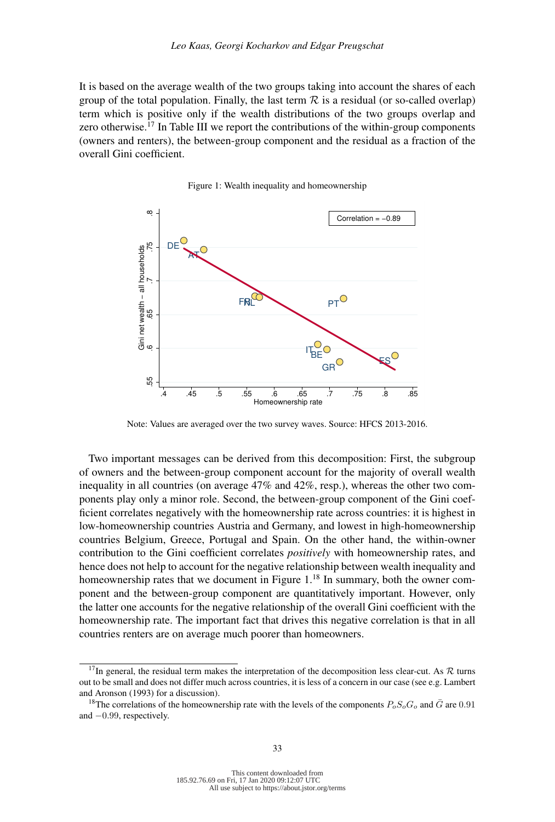It is based on the average wealth of the two groups taking into account the shares of each group of the total population. Finally, the last term  $R$  is a residual (or so-called overlap) term which is positive only if the wealth distributions of the two groups overlap and zero otherwise.<sup>17</sup> In Table III we report the contributions of the within-group components (owners and renters), the between-group component and the residual as a fraction of the overall Gini coefficient.



Figure 1: Wealth inequality and homeownership

Note: Values are averaged over the two survey waves. Source: HFCS 2013-2016.

Two important messages can be derived from this decomposition: First, the subgroup of owners and the between-group component account for the majority of overall wealth inequality in all countries (on average 47% and 42%, resp.), whereas the other two components play only a minor role. Second, the between-group component of the Gini coefficient correlates negatively with the homeownership rate across countries: it is highest in low-homeownership countries Austria and Germany, and lowest in high-homeownership countries Belgium, Greece, Portugal and Spain. On the other hand, the within-owner contribution to the Gini coefficient correlates *positively* with homeownership rates, and hence does not help to account for the negative relationship between wealth inequality and homeownership rates that we document in Figure 1.<sup>18</sup> In summary, both the owner component and the between-group component are quantitatively important. However, only the latter one accounts for the negative relationship of the overall Gini coefficient with the homeownership rate. The important fact that drives this negative correlation is that in all countries renters are on average much poorer than homeowners.

<sup>&</sup>lt;sup>17</sup>In general, the residual term makes the interpretation of the decomposition less clear-cut. As  $R$  turns out to be small and does not differ much across countries, it is less of a concern in our case (see e.g. Lambert and Aronson (1993) for a discussion).

<sup>&</sup>lt;sup>18</sup>The correlations of the homeownership rate with the levels of the components  $P_oS_oG_o$  and  $\bar{G}$  are 0.91 and −0.99, respectively.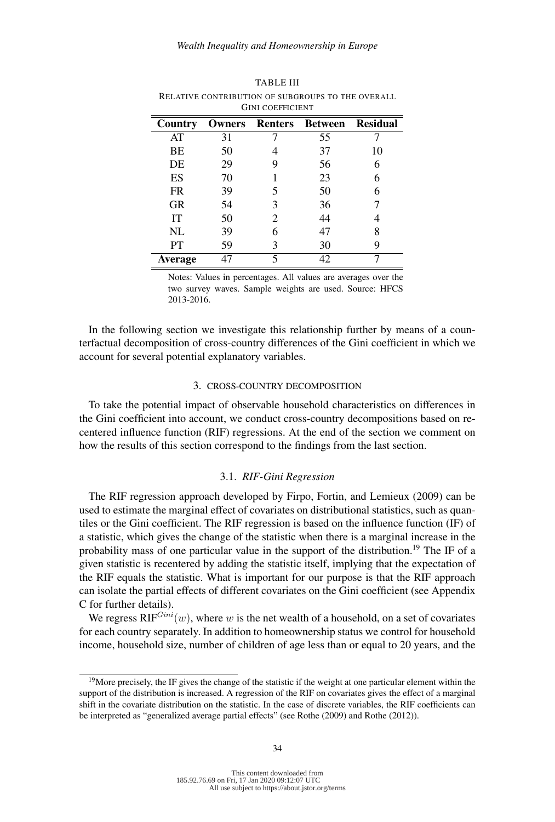|           |        | UINI COEFFICIEN I |         |                 |
|-----------|--------|-------------------|---------|-----------------|
| Country   | Owners | <b>Renters</b>    | Between | <b>Residual</b> |
| AT        | 31     |                   | 55      |                 |
| BE        | 50     |                   | 37      | 10              |
| DE        | 29     | 9                 | 56      | 6               |
| ES        | 70     |                   | 23      | 6               |
| <b>FR</b> | 39     | 5                 | 50      | 6               |
| <b>GR</b> | 54     | 3                 | 36      |                 |
| IT        | 50     | 2                 | 44      |                 |
| NL        | 39     | 6                 | 47      | 8               |
| PT        | 59     | 3                 | 30      | 9               |
| Average   | 47     | 5                 | 42      |                 |

TABLE III RELATIVE CONTRIBUTION OF SUBGROUPS TO THE OVERALL GINI COEFFICIENT

Notes: Values in percentages. All values are averages over the two survey waves. Sample weights are used. Source: HFCS 2013-2016.

In the following section we investigate this relationship further by means of a counterfactual decomposition of cross-country differences of the Gini coefficient in which we account for several potential explanatory variables.

## 3. CROSS-COUNTRY DECOMPOSITION

To take the potential impact of observable household characteristics on differences in the Gini coefficient into account, we conduct cross-country decompositions based on recentered influence function (RIF) regressions. At the end of the section we comment on how the results of this section correspond to the findings from the last section.

## 3.1. *RIF-Gini Regression*

The RIF regression approach developed by Firpo, Fortin, and Lemieux (2009) can be used to estimate the marginal effect of covariates on distributional statistics, such as quantiles or the Gini coefficient. The RIF regression is based on the influence function (IF) of a statistic, which gives the change of the statistic when there is a marginal increase in the probability mass of one particular value in the support of the distribution.<sup>19</sup> The IF of a given statistic is recentered by adding the statistic itself, implying that the expectation of the RIF equals the statistic. What is important for our purpose is that the RIF approach can isolate the partial effects of different covariates on the Gini coefficient (see Appendix C for further details).

We regress  $RIF^{Gini}(w)$ , where w is the net wealth of a household, on a set of covariates for each country separately. In addition to homeownership status we control for household income, household size, number of children of age less than or equal to 20 years, and the

<sup>&</sup>lt;sup>19</sup>More precisely, the IF gives the change of the statistic if the weight at one particular element within the support of the distribution is increased. A regression of the RIF on covariates gives the effect of a marginal shift in the covariate distribution on the statistic. In the case of discrete variables, the RIF coefficients can be interpreted as "generalized average partial effects" (see Rothe (2009) and Rothe (2012)).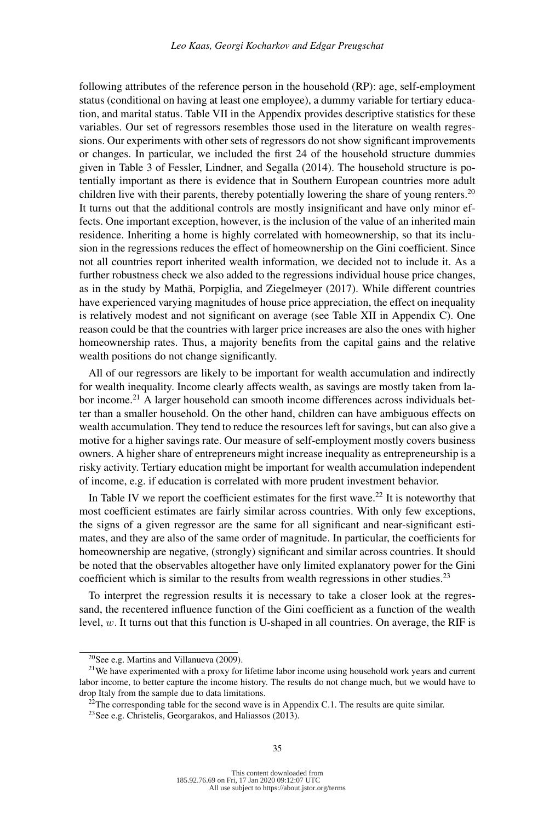following attributes of the reference person in the household (RP): age, self-employment status (conditional on having at least one employee), a dummy variable for tertiary education, and marital status. Table VII in the Appendix provides descriptive statistics for these variables. Our set of regressors resembles those used in the literature on wealth regressions. Our experiments with other sets of regressors do not show significant improvements or changes. In particular, we included the first 24 of the household structure dummies given in Table 3 of Fessler, Lindner, and Segalla (2014). The household structure is potentially important as there is evidence that in Southern European countries more adult children live with their parents, thereby potentially lowering the share of young renters.<sup>20</sup> It turns out that the additional controls are mostly insignificant and have only minor effects. One important exception, however, is the inclusion of the value of an inherited main residence. Inheriting a home is highly correlated with homeownership, so that its inclusion in the regressions reduces the effect of homeownership on the Gini coefficient. Since not all countries report inherited wealth information, we decided not to include it. As a further robustness check we also added to the regressions individual house price changes, as in the study by Mathä, Porpiglia, and Ziegelmeyer (2017). While different countries have experienced varying magnitudes of house price appreciation, the effect on inequality is relatively modest and not significant on average (see Table XII in Appendix C). One reason could be that the countries with larger price increases are also the ones with higher homeownership rates. Thus, a majority benefits from the capital gains and the relative wealth positions do not change significantly.

All of our regressors are likely to be important for wealth accumulation and indirectly for wealth inequality. Income clearly affects wealth, as savings are mostly taken from labor income.<sup>21</sup> A larger household can smooth income differences across individuals better than a smaller household. On the other hand, children can have ambiguous effects on wealth accumulation. They tend to reduce the resources left for savings, but can also give a motive for a higher savings rate. Our measure of self-employment mostly covers business owners. A higher share of entrepreneurs might increase inequality as entrepreneurship is a risky activity. Tertiary education might be important for wealth accumulation independent of income, e.g. if education is correlated with more prudent investment behavior.

In Table IV we report the coefficient estimates for the first wave.<sup>22</sup> It is noteworthy that most coefficient estimates are fairly similar across countries. With only few exceptions, the signs of a given regressor are the same for all significant and near-significant estimates, and they are also of the same order of magnitude. In particular, the coefficients for homeownership are negative, (strongly) significant and similar across countries. It should be noted that the observables altogether have only limited explanatory power for the Gini coefficient which is similar to the results from wealth regressions in other studies.<sup>23</sup>

To interpret the regression results it is necessary to take a closer look at the regressand, the recentered influence function of the Gini coefficient as a function of the wealth level, w. It turns out that this function is U-shaped in all countries. On average, the RIF is

 $20$ See e.g. Martins and Villanueva (2009).

 $2<sup>1</sup>$ We have experimented with a proxy for lifetime labor income using household work years and current labor income, to better capture the income history. The results do not change much, but we would have to drop Italy from the sample due to data limitations.

 $^{22}$ The corresponding table for the second wave is in Appendix C.1. The results are quite similar.

<sup>23</sup>See e.g. Christelis, Georgarakos, and Haliassos (2013).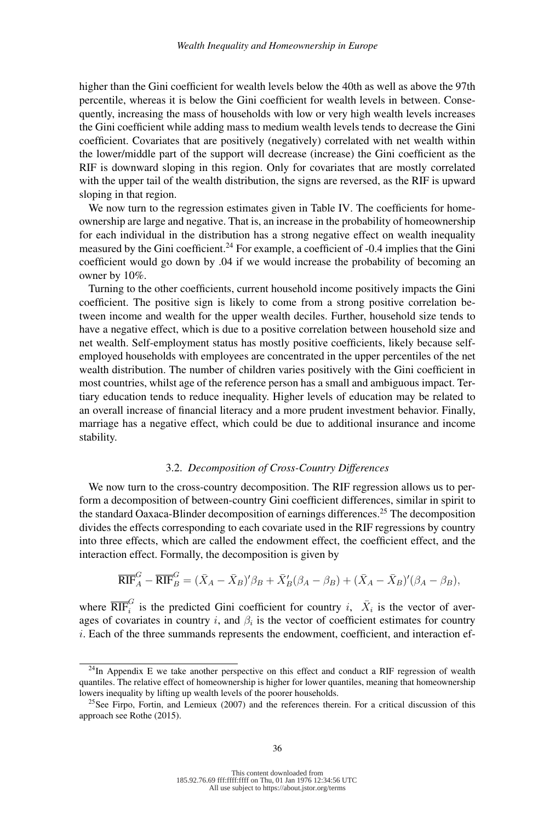higher than the Gini coefficient for wealth levels below the 40th as well as above the 97th percentile, whereas it is below the Gini coefficient for wealth levels in between. Consequently, increasing the mass of households with low or very high wealth levels increases the Gini coefficient while adding mass to medium wealth levels tends to decrease the Gini coefficient. Covariates that are positively (negatively) correlated with net wealth within the lower/middle part of the support will decrease (increase) the Gini coefficient as the RIF is downward sloping in this region. Only for covariates that are mostly correlated with the upper tail of the wealth distribution, the signs are reversed, as the RIF is upward sloping in that region.

We now turn to the regression estimates given in Table IV. The coefficients for homeownership are large and negative. That is, an increase in the probability of homeownership for each individual in the distribution has a strong negative effect on wealth inequality measured by the Gini coefficient.<sup>24</sup> For example, a coefficient of -0.4 implies that the Gini coefficient would go down by .04 if we would increase the probability of becoming an owner by 10%.

Turning to the other coefficients, current household income positively impacts the Gini coefficient. The positive sign is likely to come from a strong positive correlation between income and wealth for the upper wealth deciles. Further, household size tends to have a negative effect, which is due to a positive correlation between household size and net wealth. Self-employment status has mostly positive coefficients, likely because selfemployed households with employees are concentrated in the upper percentiles of the net wealth distribution. The number of children varies positively with the Gini coefficient in most countries, whilst age of the reference person has a small and ambiguous impact. Tertiary education tends to reduce inequality. Higher levels of education may be related to an overall increase of financial literacy and a more prudent investment behavior. Finally, marriage has a negative effect, which could be due to additional insurance and income stability.

# 3.2. *Decomposition of Cross-Country Differences*

We now turn to the cross-country decomposition. The RIF regression allows us to perform a decomposition of between-country Gini coefficient differences, similar in spirit to the standard Oaxaca-Blinder decomposition of earnings differences.<sup>25</sup> The decomposition divides the effects corresponding to each covariate used in the RIF regressions by country into three effects, which are called the endowment effect, the coefficient effect, and the interaction effect. Formally, the decomposition is given by

$$
\overline{\text{RIF}}_A^G - \overline{\text{RIF}}_B^G = (\overline{X}_A - \overline{X}_B)' \beta_B + \overline{X}_B' (\beta_A - \beta_B) + (\overline{X}_A - \overline{X}_B)' (\beta_A - \beta_B),
$$

where  $\overline{\text{RIF}}_i^G$  is the predicted Gini coefficient for country i,  $\overline{X}_i$  is the vector of averages of covariates in country i, and  $\beta_i$  is the vector of coefficient estimates for country  $i$ . Each of the three summands represents the endowment, coefficient, and interaction ef-

 $24$ In Appendix E we take another perspective on this effect and conduct a RIF regression of wealth quantiles. The relative effect of homeownership is higher for lower quantiles, meaning that homeownership lowers inequality by lifting up wealth levels of the poorer households.

<sup>&</sup>lt;sup>25</sup>See Firpo, Fortin, and Lemieux (2007) and the references therein. For a critical discussion of this approach see Rothe (2015).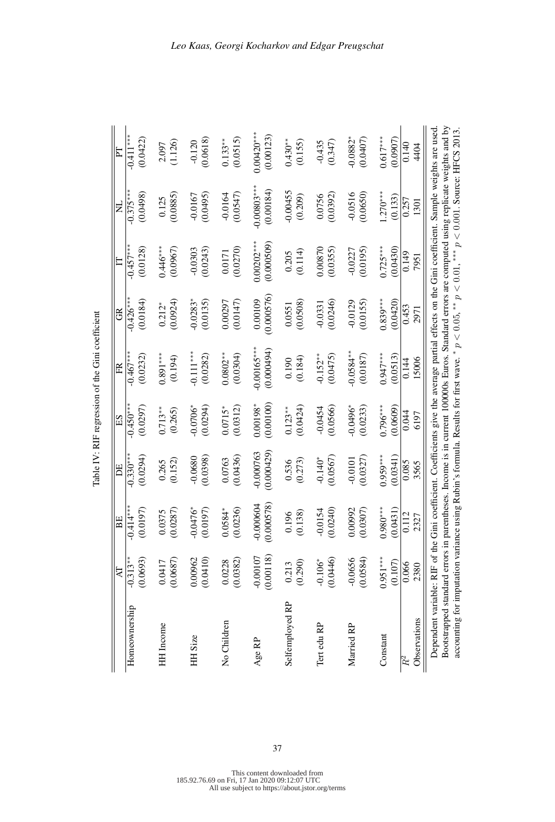Table IV: RIF regression of the Gini coefficient Table IV: RIF regression of the Gini coefficient

|                           | n parentheses. Income is in current 100000s Euros. Standard errors are computed using replicate weights and by |                            |                         |                            |                         |                           |                           |                                      | Dependent variable: RIF of the Gini coefficient. Coefficients give the average partial effects on the Gini coefficient. Sample weights are used<br>accounting for imputation variance using Rubin's formula. Results for first wave. * $p < 0.05$ , ** $p < 0.01$ , *** $p < 0.001$ . Source: HFCS 2013<br>Bootstrapped standard errors in |
|---------------------------|----------------------------------------------------------------------------------------------------------------|----------------------------|-------------------------|----------------------------|-------------------------|---------------------------|---------------------------|--------------------------------------|--------------------------------------------------------------------------------------------------------------------------------------------------------------------------------------------------------------------------------------------------------------------------------------------------------------------------------------------|
| 4404                      | 1301                                                                                                           | 7951                       | 2971                    | 15006                      | 6197                    | 3565                      | 2327                      | 2380                                 | Observations                                                                                                                                                                                                                                                                                                                               |
| 0.140                     | 0.257                                                                                                          | 0.149                      | 0.453                   | 0.144                      | 0.044                   | 0.085                     | 0.112                     | 0.066                                |                                                                                                                                                                                                                                                                                                                                            |
| (0.0907)                  | (0.133)                                                                                                        | (0.0430)                   | (0.0420)                | (0.0513)                   | (0.0609)                | (0.0341)                  | (0.0431)                  | (0.107)                              |                                                                                                                                                                                                                                                                                                                                            |
| $0.617***$                | $1.270***$                                                                                                     | $0.725***$                 | $0.839***$              | $0.947***$                 | $0.796***$              | $0.959***$                | $0.980***$                | $0.951***$                           | Constant                                                                                                                                                                                                                                                                                                                                   |
| (0.0407)                  | (0.0650)                                                                                                       | (0.0195)                   | (0.0155)                | (0.0187)                   | (0.0233)                | (0.0327)                  | (0.0307)                  | (0.0584)                             |                                                                                                                                                                                                                                                                                                                                            |
| $-0.0882*$                | $-0.0516$                                                                                                      | $-0.0227$                  | $-0.0129$               | $-0.0584***$               | $-0.0496$ <sup>*</sup>  | $-0.0101$                 | 0.00992                   | $-0.0656$                            | Married RP                                                                                                                                                                                                                                                                                                                                 |
| (0.347)                   | (0.0392)                                                                                                       | (0.0355)                   | (0.0246)                | (0.0475)                   | (0.0566)                | (0.0567)                  | (0.0240)                  | (0.0446)                             |                                                                                                                                                                                                                                                                                                                                            |
| $-0.435$                  | 0.0756                                                                                                         | 0.00870                    | $-0.0331$               | $-0.152**$                 | $-0.0454$               | $-0.140*$                 | 0.0154                    | $-0.106*$                            | Tert edu RP                                                                                                                                                                                                                                                                                                                                |
| (0.155)                   | (0.209)                                                                                                        | (0.114)                    | (0.0508)                | (0.184)                    | (0.0424)                | (0.273)                   | (0.138)                   | (0.290)                              |                                                                                                                                                                                                                                                                                                                                            |
| $0.430**$                 | $-0.00455$                                                                                                     | 0.205                      | 0.0551                  | 0.190                      | $0.123**$               | 0.536                     | 0.196                     | 0.213                                | Selfemployed RP                                                                                                                                                                                                                                                                                                                            |
| $0.00420***$<br>(0.00123) | $-0.00803***$<br>(0.00184)                                                                                     | $0.00202***$<br>(0.000509) | (0.000576)<br>0.00109   | $0.00165***$<br>(0.000494) | (0.00100)<br>$0.00198*$ | $-0.000763$<br>(0.000429) | $-0.000604$<br>(0.000578) | (0.00118)<br>$-0.00107$              | $Age$ $\rm RP$                                                                                                                                                                                                                                                                                                                             |
| (0.0515)<br>$0.133***$    | $-0.0164$<br>(0.0547)                                                                                          | (0.0270)<br>0.0171         | (0.0147)<br>0.00297     | $0.0802**$<br>(0.0304)     | $0.0715*$<br>(0.0312)   | (0.0436)<br>0.0763        | $0.0584*$<br>(0.0236)     | (0.0382)<br>0.0228                   | No Children                                                                                                                                                                                                                                                                                                                                |
| (0.0618)<br>$-0.120$      | (0.0495)<br>$-0.0167$                                                                                          | $-0.0303$<br>(0.0243)      | $-0.0283*$<br>(0.0135)  | $-0.111***$<br>(0.0282)    | $-0.0706*$<br>(0.0294)  | $-0.0680$<br>(0.0398)     | $-0.0476*$<br>(0.0197)    | (0.0410)<br>0.00962                  | HH Size                                                                                                                                                                                                                                                                                                                                    |
| (1.126)<br>2.097          | (0.0885)<br>0.125                                                                                              | $0.446***$<br>(0.0967)     | (0.0924)<br>$0.212*$    | $0.891***$<br>(0.194)      | $0.713**$<br>(0.265)    | (0.152)<br>0.265          | (0.0287)<br>0.0375        | (0.0687)<br>0.0417                   | HH Income                                                                                                                                                                                                                                                                                                                                  |
|                           |                                                                                                                |                            |                         |                            |                         |                           |                           |                                      |                                                                                                                                                                                                                                                                                                                                            |
| $-0.411$ **<br>(0.0422)   | $-0.375***$<br>(0.0498)                                                                                        | $-0.457***$<br>(0.0128)    | $-0.426***$<br>(0.0184) | $-0.467***$<br>(0.0232)    | $-0.450**$<br>(0.0297)  | $-0.330***$<br>(0.0294)   | $-0.414***$<br>(0.0197)   | $-0.3\overline{13}^{**}$<br>(0.0693) | Homeownership                                                                                                                                                                                                                                                                                                                              |
| E                         | $\Xi$                                                                                                          | E                          | GR                      | ER                         | ES                      | DE,                       | BE                        | AT                                   |                                                                                                                                                                                                                                                                                                                                            |

\*  $p < 0.05$ , \*\*  $p < 0.01$ , \*\*\*  $p < 0.001$ . Source: HFCS 2013.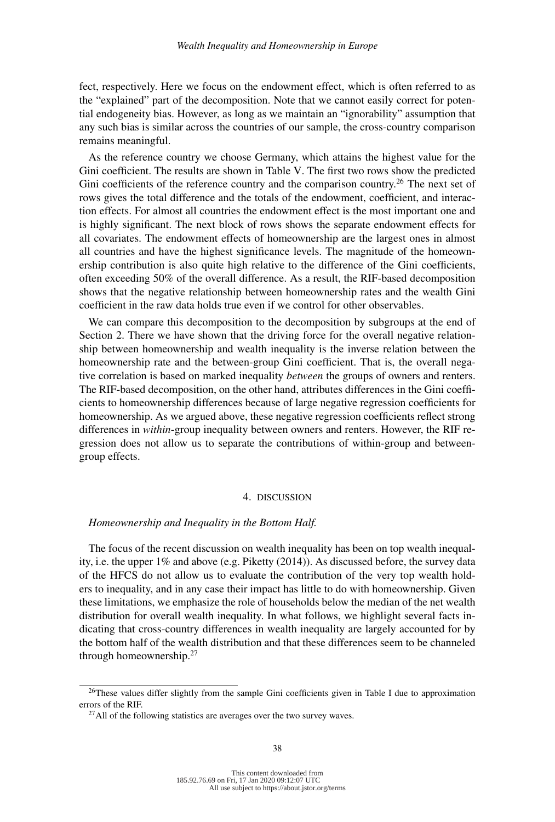fect, respectively. Here we focus on the endowment effect, which is often referred to as the "explained" part of the decomposition. Note that we cannot easily correct for potential endogeneity bias. However, as long as we maintain an "ignorability" assumption that any such bias is similar across the countries of our sample, the cross-country comparison remains meaningful.

As the reference country we choose Germany, which attains the highest value for the Gini coefficient. The results are shown in Table V. The first two rows show the predicted Gini coefficients of the reference country and the comparison country.<sup>26</sup> The next set of rows gives the total difference and the totals of the endowment, coefficient, and interaction effects. For almost all countries the endowment effect is the most important one and is highly significant. The next block of rows shows the separate endowment effects for all covariates. The endowment effects of homeownership are the largest ones in almost all countries and have the highest significance levels. The magnitude of the homeownership contribution is also quite high relative to the difference of the Gini coefficients, often exceeding 50% of the overall difference. As a result, the RIF-based decomposition shows that the negative relationship between homeownership rates and the wealth Gini coefficient in the raw data holds true even if we control for other observables.

We can compare this decomposition to the decomposition by subgroups at the end of Section 2. There we have shown that the driving force for the overall negative relationship between homeownership and wealth inequality is the inverse relation between the homeownership rate and the between-group Gini coefficient. That is, the overall negative correlation is based on marked inequality *between* the groups of owners and renters. The RIF-based decomposition, on the other hand, attributes differences in the Gini coefficients to homeownership differences because of large negative regression coefficients for homeownership. As we argued above, these negative regression coefficients reflect strong differences in *within*-group inequality between owners and renters. However, the RIF regression does not allow us to separate the contributions of within-group and betweengroup effects.

## 4. DISCUSSION

# *Homeownership and Inequality in the Bottom Half.*

The focus of the recent discussion on wealth inequality has been on top wealth inequality, i.e. the upper 1% and above (e.g. Piketty (2014)). As discussed before, the survey data of the HFCS do not allow us to evaluate the contribution of the very top wealth holders to inequality, and in any case their impact has little to do with homeownership. Given these limitations, we emphasize the role of households below the median of the net wealth distribution for overall wealth inequality. In what follows, we highlight several facts indicating that cross-country differences in wealth inequality are largely accounted for by the bottom half of the wealth distribution and that these differences seem to be channeled through homeownership.27

 $26$ These values differ slightly from the sample Gini coefficients given in Table I due to approximation errors of the RIF.

 $^{27}$ All of the following statistics are averages over the two survey waves.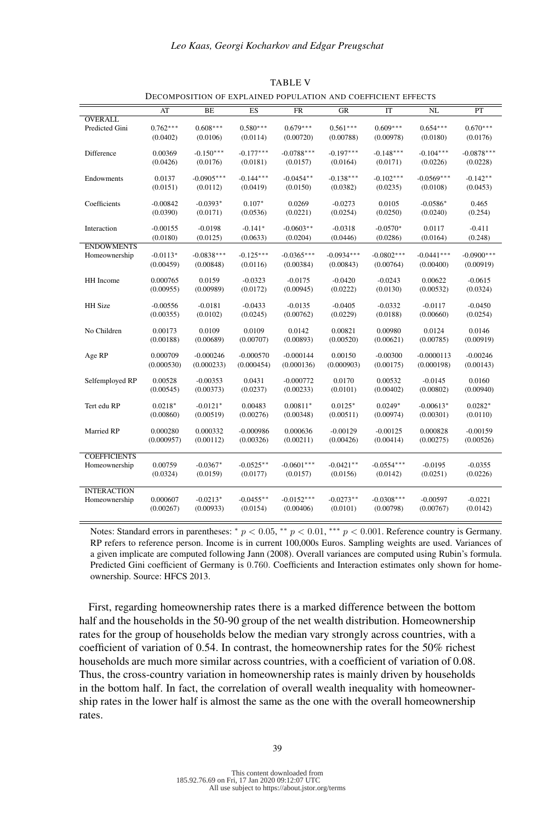|                     | AT         | BE           | ES          | $\overline{\text{FR}}$ | GR           | IT           | $\overline{\text{NL}}$ | PT           |
|---------------------|------------|--------------|-------------|------------------------|--------------|--------------|------------------------|--------------|
| <b>OVERALL</b>      |            |              |             |                        |              |              |                        |              |
| Predicted Gini      | $0.762***$ | $0.608***$   | $0.580***$  | $0.679***$             | $0.561***$   | $0.609***$   | $0.654***$             | $0.670***$   |
|                     | (0.0402)   | (0.0106)     | (0.0114)    | (0.00720)              | (0.00788)    | (0.00978)    | (0.0180)               | (0.0176)     |
|                     |            |              |             |                        |              |              |                        |              |
| Difference          | 0.00369    | $-0.150***$  | $-0.177***$ | $-0.0788***$           | $-0.197***$  | $-0.148***$  | $-0.104***$            | $-0.0878***$ |
|                     | (0.0426)   | (0.0176)     | (0.0181)    | (0.0157)               | (0.0164)     | (0.0171)     | (0.0226)               | (0.0228)     |
|                     |            |              |             |                        |              |              |                        |              |
| Endowments          | 0.0137     | $-0.0905***$ | $-0.144***$ | $-0.0454**$            | $-0.138***$  | $-0.102***$  | $-0.0569***$           | $-0.142**$   |
|                     | (0.0151)   | (0.0112)     | (0.0419)    | (0.0150)               | (0.0382)     | (0.0235)     | (0.0108)               | (0.0453)     |
| Coefficients        | $-0.00842$ | $-0.0393*$   | $0.107*$    | 0.0269                 | $-0.0273$    | 0.0105       | $-0.0586*$             | 0.465        |
|                     |            |              |             |                        |              | (0.0250)     |                        |              |
|                     | (0.0390)   | (0.0171)     | (0.0536)    | (0.0221)               | (0.0254)     |              | (0.0240)               | (0.254)      |
| Interaction         | $-0.00155$ | $-0.0198$    | $-0.141*$   | $-0.0603**$            | $-0.0318$    | $-0.0570*$   | 0.0117                 | $-0.411$     |
|                     | (0.0180)   | (0.0125)     | (0.0633)    | (0.0204)               | (0.0446)     | (0.0286)     | (0.0164)               | (0.248)      |
| <b>ENDOWMENTS</b>   |            |              |             |                        |              |              |                        |              |
| Homeownership       | $-0.0113*$ | $-0.0838***$ | $-0.125***$ | $-0.0365***$           | $-0.0934***$ | $-0.0802***$ | $-0.0441***$           | $-0.0900***$ |
|                     | (0.00459)  | (0.00848)    | (0.0116)    | (0.00384)              | (0.00843)    | (0.00764)    | (0.00400)              | (0.00919)    |
|                     |            |              |             |                        |              |              |                        |              |
| HH Income           | 0.000765   | 0.0159       | $-0.0323$   | $-0.0175$              | $-0.0420$    | $-0.0243$    | 0.00622                | $-0.0615$    |
|                     | (0.00955)  | (0.00989)    | (0.0172)    | (0.00945)              | (0.0222)     | (0.0130)     | (0.00532)              | (0.0324)     |
|                     |            |              |             |                        |              |              |                        |              |
| <b>HH</b> Size      | $-0.00556$ | $-0.0181$    | $-0.0433$   | $-0.0135$              | $-0.0405$    | $-0.0332$    | $-0.0117$              | $-0.0450$    |
|                     | (0.00355)  | (0.0102)     | (0.0245)    | (0.00762)              | (0.0229)     | (0.0188)     | (0.00660)              | (0.0254)     |
|                     |            |              |             |                        |              |              |                        |              |
| No Children         | 0.00173    | 0.0109       | 0.0109      | 0.0142                 | 0.00821      | 0.00980      | 0.0124                 | 0.0146       |
|                     | (0.00188)  | (0.00689)    | (0.00707)   | (0.00893)              | (0.00520)    | (0.00621)    | (0.00785)              | (0.00919)    |
| Age RP              | 0.000709   | $-0.000246$  | $-0.000570$ | $-0.000144$            | 0.00150      | $-0.00300$   | $-0.0000113$           | $-0.00246$   |
|                     | (0.000530) | (0.000233)   | (0.000454)  | (0.000136)             | (0.000903)   | (0.00175)    | (0.000198)             | (0.00143)    |
|                     |            |              |             |                        |              |              |                        |              |
| Selfemployed RP     | 0.00528    | $-0.00353$   | 0.0431      | $-0.000772$            | 0.0170       | 0.00532      | $-0.0145$              | 0.0160       |
|                     | (0.00545)  | (0.00373)    | (0.0237)    | (0.00233)              | (0.0101)     | (0.00402)    | (0.00802)              | (0.00940)    |
|                     |            |              |             |                        |              |              |                        |              |
| Tert edu RP         | $0.0218*$  | $-0.0121*$   | 0.00483     | $0.00811*$             | $0.0125*$    | $0.0249*$    | $-0.00613*$            | $0.0282*$    |
|                     | (0.00860)  | (0.00519)    | (0.00276)   | (0.00348)              | (0.00511)    | (0.00974)    | (0.00301)              | (0.0110)     |
|                     |            |              |             |                        |              |              |                        |              |
| Married RP          | 0.000280   | 0.000332     | $-0.000986$ | 0.000636               | $-0.00129$   | $-0.00125$   | 0.000828               | $-0.00159$   |
|                     | (0.000957) | (0.00112)    | (0.00326)   | (0.00211)              | (0.00426)    | (0.00414)    | (0.00275)              | (0.00526)    |
|                     |            |              |             |                        |              |              |                        |              |
| <b>COEFFICIENTS</b> |            |              |             |                        |              |              |                        |              |
| Homeownership       | 0.00759    | $-0.0367*$   | $-0.0525**$ | $-0.0601***$           | $-0.0421**$  | $-0.0554***$ | $-0.0195$              | $-0.0355$    |
|                     | (0.0324)   | (0.0159)     | (0.0177)    | (0.0157)               | (0.0156)     | (0.0142)     | (0.0251)               | (0.0226)     |
| <b>INTERACTION</b>  |            |              |             |                        |              |              |                        |              |
|                     | 0.000607   | $-0.0213*$   | $-0.0455**$ | $-0.0152***$           | $-0.0273**$  | $-0.0308***$ | $-0.00597$             | $-0.0221$    |
| Homeownership       |            |              |             |                        |              |              |                        |              |
|                     | (0.00267)  | (0.00933)    | (0.0154)    | (0.00406)              | (0.0101)     | (0.00798)    | (0.00767)              | (0.0142)     |

TABLE V DECOMPOSITION OF EXPLAINED POPULATION AND COEFFICIENT EFFECTS

Notes: Standard errors in parentheses:  $p < 0.05$ ,  $\alpha+p < 0.01$ ,  $\alpha+p < 0.001$ . Reference country is Germany. RP refers to reference person. Income is in current 100,000s Euros. Sampling weights are used. Variances of a given implicate are computed following Jann (2008). Overall variances are computed using Rubin's formula. Predicted Gini coefficient of Germany is 0.760. Coefficients and Interaction estimates only shown for homeownership. Source: HFCS 2013.

First, regarding homeownership rates there is a marked difference between the bottom half and the households in the 50-90 group of the net wealth distribution. Homeownership rates for the group of households below the median vary strongly across countries, with a coefficient of variation of 0.54. In contrast, the homeownership rates for the 50% richest households are much more similar across countries, with a coefficient of variation of 0.08. Thus, the cross-country variation in homeownership rates is mainly driven by households in the bottom half. In fact, the correlation of overall wealth inequality with homeownership rates in the lower half is almost the same as the one with the overall homeownership rates.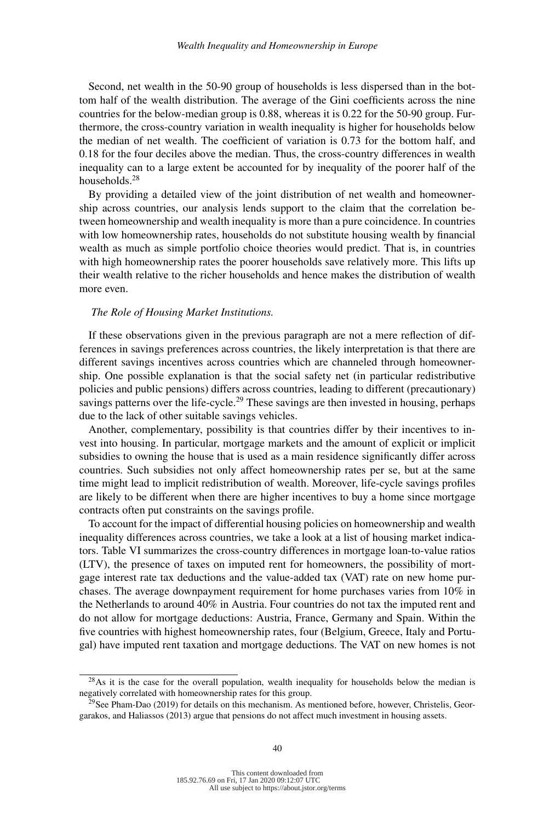Second, net wealth in the 50-90 group of households is less dispersed than in the bottom half of the wealth distribution. The average of the Gini coefficients across the nine countries for the below-median group is 0.88, whereas it is 0.22 for the 50-90 group. Furthermore, the cross-country variation in wealth inequality is higher for households below the median of net wealth. The coefficient of variation is 0.73 for the bottom half, and 0.18 for the four deciles above the median. Thus, the cross-country differences in wealth inequality can to a large extent be accounted for by inequality of the poorer half of the households.28

By providing a detailed view of the joint distribution of net wealth and homeownership across countries, our analysis lends support to the claim that the correlation between homeownership and wealth inequality is more than a pure coincidence. In countries with low homeownership rates, households do not substitute housing wealth by financial wealth as much as simple portfolio choice theories would predict. That is, in countries with high homeownership rates the poorer households save relatively more. This lifts up their wealth relative to the richer households and hence makes the distribution of wealth more even.

### *The Role of Housing Market Institutions.*

If these observations given in the previous paragraph are not a mere reflection of differences in savings preferences across countries, the likely interpretation is that there are different savings incentives across countries which are channeled through homeownership. One possible explanation is that the social safety net (in particular redistributive policies and public pensions) differs across countries, leading to different (precautionary) savings patterns over the life-cycle.<sup>29</sup> These savings are then invested in housing, perhaps due to the lack of other suitable savings vehicles.

Another, complementary, possibility is that countries differ by their incentives to invest into housing. In particular, mortgage markets and the amount of explicit or implicit subsidies to owning the house that is used as a main residence significantly differ across countries. Such subsidies not only affect homeownership rates per se, but at the same time might lead to implicit redistribution of wealth. Moreover, life-cycle savings profiles are likely to be different when there are higher incentives to buy a home since mortgage contracts often put constraints on the savings profile.

To account for the impact of differential housing policies on homeownership and wealth inequality differences across countries, we take a look at a list of housing market indicators. Table VI summarizes the cross-country differences in mortgage loan-to-value ratios (LTV), the presence of taxes on imputed rent for homeowners, the possibility of mortgage interest rate tax deductions and the value-added tax (VAT) rate on new home purchases. The average downpayment requirement for home purchases varies from 10% in the Netherlands to around 40% in Austria. Four countries do not tax the imputed rent and do not allow for mortgage deductions: Austria, France, Germany and Spain. Within the five countries with highest homeownership rates, four (Belgium, Greece, Italy and Portugal) have imputed rent taxation and mortgage deductions. The VAT on new homes is not

 $^{28}$ As it is the case for the overall population, wealth inequality for households below the median is negatively correlated with homeownership rates for this group.

<sup>&</sup>lt;sup>29</sup>See Pham-Dao (2019) for details on this mechanism. As mentioned before, however, Christelis, Georgarakos, and Haliassos (2013) argue that pensions do not affect much investment in housing assets.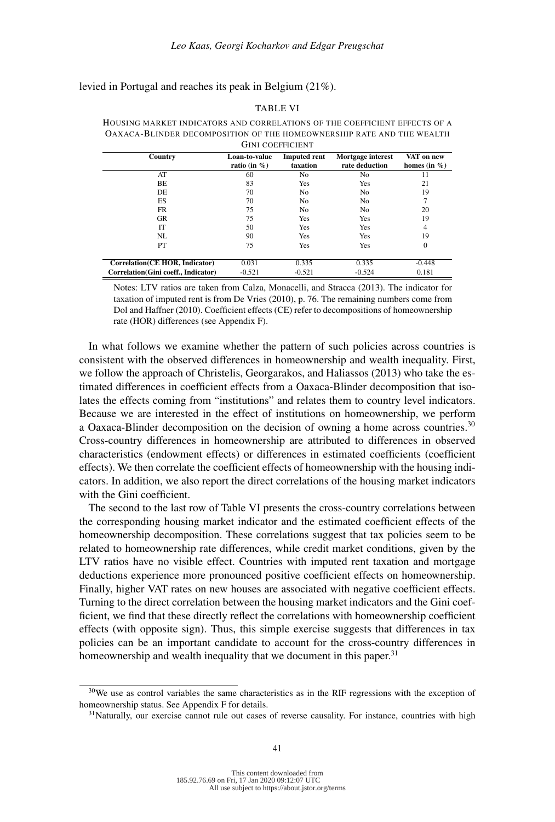levied in Portugal and reaches its peak in Belgium (21%).

#### TABLE VI

HOUSING MARKET INDICATORS AND CORRELATIONS OF THE COEFFICIENT EFFECTS OF A OAXACA-BLINDER DECOMPOSITION OF THE HOMEOWNERSHIP RATE AND THE WEALTH GINI COEFFICIENT

| Country                              | Loan-to-value    | <b>Imputed rent</b> | Mortgage interest | VAT on new       |
|--------------------------------------|------------------|---------------------|-------------------|------------------|
|                                      | ratio (in $\%$ ) | taxation            | rate deduction    | homes (in $\%$ ) |
| AT                                   | 60               | No.                 | No.               | 11               |
| BE                                   | 83               | Yes                 | Yes               | 21               |
| DE                                   | 70               | No.                 | N <sub>0</sub>    | 19               |
| ES                                   | 70               | No.                 | N <sub>0</sub>    | 7                |
| FR                                   | 75               | No.                 | N <sub>0</sub>    | 20               |
| <b>GR</b>                            | 75               | Yes                 | Yes               | 19               |
| IТ                                   | 50               | Yes                 | Yes               | 4                |
| NL                                   | 90               | Yes                 | Yes               | 19               |
| PТ                                   | 75               | Yes                 | Yes               | $\mathbf{0}$     |
| Correlation (CE HOR, Indicator)      | 0.031            | 0.335               | 0.335             | $-0.448$         |
| Correlation (Gini coeff., Indicator) | $-0.521$         | $-0.521$            | $-0.524$          | 0.181            |

Notes: LTV ratios are taken from Calza, Monacelli, and Stracca (2013). The indicator for taxation of imputed rent is from De Vries (2010), p. 76. The remaining numbers come from Dol and Haffner (2010). Coefficient effects (CE) refer to decompositions of homeownership rate (HOR) differences (see Appendix F).

In what follows we examine whether the pattern of such policies across countries is consistent with the observed differences in homeownership and wealth inequality. First, we follow the approach of Christelis, Georgarakos, and Haliassos (2013) who take the estimated differences in coefficient effects from a Oaxaca-Blinder decomposition that isolates the effects coming from "institutions" and relates them to country level indicators. Because we are interested in the effect of institutions on homeownership, we perform a Oaxaca-Blinder decomposition on the decision of owning a home across countries.<sup>30</sup> Cross-country differences in homeownership are attributed to differences in observed characteristics (endowment effects) or differences in estimated coefficients (coefficient effects). We then correlate the coefficient effects of homeownership with the housing indicators. In addition, we also report the direct correlations of the housing market indicators with the Gini coefficient.

The second to the last row of Table VI presents the cross-country correlations between the corresponding housing market indicator and the estimated coefficient effects of the homeownership decomposition. These correlations suggest that tax policies seem to be related to homeownership rate differences, while credit market conditions, given by the LTV ratios have no visible effect. Countries with imputed rent taxation and mortgage deductions experience more pronounced positive coefficient effects on homeownership. Finally, higher VAT rates on new houses are associated with negative coefficient effects. Turning to the direct correlation between the housing market indicators and the Gini coefficient, we find that these directly reflect the correlations with homeownership coefficient effects (with opposite sign). Thus, this simple exercise suggests that differences in tax policies can be an important candidate to account for the cross-country differences in homeownership and wealth inequality that we document in this paper.<sup>31</sup>

<sup>&</sup>lt;sup>30</sup>We use as control variables the same characteristics as in the RIF regressions with the exception of homeownership status. See Appendix F for details.

<sup>&</sup>lt;sup>31</sup>Naturally, our exercise cannot rule out cases of reverse causality. For instance, countries with high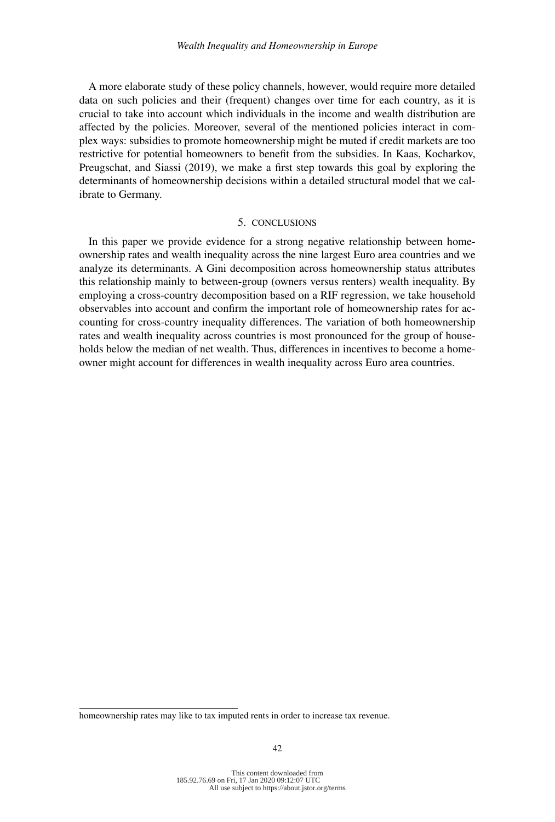A more elaborate study of these policy channels, however, would require more detailed data on such policies and their (frequent) changes over time for each country, as it is crucial to take into account which individuals in the income and wealth distribution are affected by the policies. Moreover, several of the mentioned policies interact in complex ways: subsidies to promote homeownership might be muted if credit markets are too restrictive for potential homeowners to benefit from the subsidies. In Kaas, Kocharkov, Preugschat, and Siassi (2019), we make a first step towards this goal by exploring the determinants of homeownership decisions within a detailed structural model that we calibrate to Germany.

## 5. CONCLUSIONS

In this paper we provide evidence for a strong negative relationship between homeownership rates and wealth inequality across the nine largest Euro area countries and we analyze its determinants. A Gini decomposition across homeownership status attributes this relationship mainly to between-group (owners versus renters) wealth inequality. By employing a cross-country decomposition based on a RIF regression, we take household observables into account and confirm the important role of homeownership rates for accounting for cross-country inequality differences. The variation of both homeownership rates and wealth inequality across countries is most pronounced for the group of households below the median of net wealth. Thus, differences in incentives to become a homeowner might account for differences in wealth inequality across Euro area countries.

homeownership rates may like to tax imputed rents in order to increase tax revenue.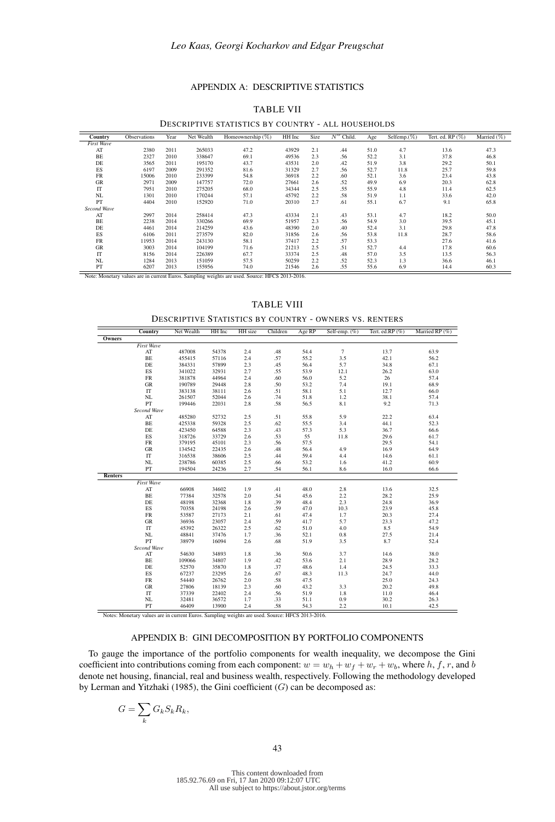## APPENDIX A: DESCRIPTIVE STATISTICS

| Country           | Observations | Year | Net Wealth | Homeownership $(\%)$ | HH Inc | Size | $N^{\circ}$ Child. | Age  | Selfemp. $(\%)$ | Tert. ed. $RP(\%)$ | Married $(\%)$ |
|-------------------|--------------|------|------------|----------------------|--------|------|--------------------|------|-----------------|--------------------|----------------|
| <b>First Wave</b> |              |      |            |                      |        |      |                    |      |                 |                    |                |
| AT                | 2380         | 2011 | 265033     | 47.2                 | 43929  | 2.1  | .44                | 51.0 | 4.7             | 13.6               | 47.3           |
| BE                | 2327         | 2010 | 338647     | 69.1                 | 49536  | 2.3  | .56                | 52.2 | 3.1             | 37.8               | 46.8           |
| DE                | 3565         | 2011 | 195170     | 43.7                 | 43531  | 2.0  | .42                | 51.9 | 3.8             | 29.2               | 50.1           |
| ES                | 6197         | 2009 | 291352     | 81.6                 | 31329  | 2.7  | .56                | 52.7 | 11.8            | 25.7               | 59.8           |
| FR                | 15006        | 2010 | 233399     | 54.8                 | 36918  | 2.2  | .60                | 52.1 | 3.6             | 23.4               | 43.8           |
| <b>GR</b>         | 2971         | 2009 | 147757     | 72.0                 | 27661  | 2.6  | .52                | 49.9 | 6.9             | 20.3               | 62.8           |
| IT                | 7951         | 2010 | 275205     | 68.0                 | 34344  | 2.5  | .55                | 55.9 | 4.8             | 11.4               | 62.5           |
| NL                | 1301         | 2010 | 170244     | 57.1                 | 45792  | 2.2  | .58                | 51.9 | 1.1             | 33.6               | 42.0           |
| PT                | 4404         | 2010 | 152920     | 71.0                 | 20310  | 2.7  | .61                | 55.1 | 6.7             | 9.1                | 65.8           |
| Second Wave       |              |      |            |                      |        |      |                    |      |                 |                    |                |
| AT                | 2997         | 2014 | 258414     | 47.3                 | 43334  | 2.1  | .43                | 53.1 | 4.7             | 18.2               | 50.0           |
| BE                | 2238         | 2014 | 330266     | 69.9                 | 51957  | 2.3  | .56                | 54.9 | 3.0             | 39.5               | 45.1           |
| DE                | 4461         | 2014 | 214259     | 43.6                 | 48390  | 2.0  | .40                | 52.4 | 3.1             | 29.8               | 47.8           |
| ES                | 6106         | 2011 | 273579     | 82.0                 | 31856  | 2.6  | .56                | 53.8 | 11.8            | 28.7               | 58.6           |
| <b>FR</b>         | 11953        | 2014 | 243130     | 58.1                 | 37417  | 2.2  | .57                | 53.3 |                 | 27.6               | 41.6           |
| <b>GR</b>         | 3003         | 2014 | 104199     | 71.6                 | 21213  | 2.5  | .51                | 52.7 | 4.4             | 17.8               | 60.6           |
| IT                | 8156         | 2014 | 226389     | 67.7                 | 33374  | 2.5  | .48                | 57.0 | 3.5             | 13.5               | 56.3           |
| NL                | 1284         | 2013 | 151059     | 57.5                 | 50259  | 2.2  | .52                | 52.3 | 1.3             | 36.6               | 46.1           |
| PT                | 6207         | 2013 | 155956     | 74.0                 | 21546  | 2.6  | .55                | 55.6 | 6.9             | 14.4               | 60.3           |

#### TABLE VII

DESCRIPTIVE STATISTICS BY COUNTRY - ALL HOUSEHOLDS

e: HFCS 2013-2016.

#### TABLE VIII

DESCRIPTIVE STATISTICS BY COUNTRY - OWNERS VS. RENTERS

|         | Country                | Net Wealth | HH Inc | HH size | Children | Age RP | Self-emp. (%)  | Tert. ed.RP (%) | Married RP (%) |
|---------|------------------------|------------|--------|---------|----------|--------|----------------|-----------------|----------------|
| Owners  |                        |            |        |         |          |        |                |                 |                |
|         | <b>First Wave</b>      |            |        |         |          |        |                |                 |                |
|         | AT                     | 487008     | 54378  | 2.4     | .48      | 54.4   | $\overline{7}$ | 13.7            | 63.9           |
|         | BE                     | 455415     | 57116  | 2.4     | .57      | 55.2   | 3.5            | 42.1            | 56.2           |
|         | DE                     | 384331     | 57899  | 2.3     | .45      | 56.4   | 5.7            | 34.8            | 67.1           |
|         | ES                     | 341022     | 32931  | 2.7     | .55      | 53.9   | 12.1           | 26.2            | 63.0           |
|         | FR                     | 381878     | 44964  | 2.4     | .60      | 56.0   | 5.2            | 26              | 57.4           |
|         | $_{\rm GR}$            | 190789     | 29448  | 2.8     | .50      | 53.2   | 7.4            | 19.1            | 68.9           |
|         | IT                     | 383138     | 38111  | 2.6     | .51      | 58.1   | 5.1            | 12.7            | 66.0           |
|         | NL                     | 261507     | 52044  | 2.6     | .74      | 51.8   | 1.2            | 38.1            | 57.4           |
|         | PT                     | 199446     | 22031  | 2.8     | .58      | 56.5   | 8.1            | 9.2             | 71.3           |
|         | Second Wave            |            |        |         |          |        |                |                 |                |
|         | $\mathbf{A}\mathbf{T}$ | 485280     | 52732  | 2.5     | .51      | 55.8   | 5.9            | 22.2            | 63.4           |
|         | BE                     | 425338     | 59328  | 2.5     | .62      | 55.5   | 3.4            | 44.1            | 52.3           |
|         | DE                     | 423450     | 64588  | 2.3     | .43      | 57.3   | 5.3            | 36.7            | 66.6           |
|         | ES                     | 318726     | 33729  | 2.6     | .53      | 55     | 11.8           | 29.6            | 61.7           |
|         | ${\rm FR}$             | 379195     | 45101  | 2.3     | .56      | 57.5   |                | 29.5            | 54.1           |
|         | GR                     | 134542     | 22435  | 2.6     | .48      | 56.4   | 4.9            | 16.9            | 64.9           |
|         | IT                     | 316538     | 38606  | 2.5     | .44      | 59.4   | 4.4            | 14.6            | 61.1           |
|         | NL                     | 238786     | 60385  | 2.5     | .66      | 53.2   | 1.6            | 41.2            | 60.9           |
|         | PT                     | 194504     | 24236  | 2.7     | .54      | 56.1   | 8.6            | 16.0            | 66.6           |
| Renters |                        |            |        |         |          |        |                |                 |                |
|         | First Wave             |            |        |         |          |        |                |                 |                |
|         | $\bf AT$               | 66908      | 34602  | 1.9     | .41      | 48.0   | 2.8            | 13.6            | 32.5           |
|         | BE                     | 77384      | 32578  | 2.0     | .54      | 45.6   | 2.2            | 28.2            | 25.9           |
|         | DE                     | 48198      | 32368  | 1.8     | .39      | 48.4   | 2.3            | 24.8            | 36.9           |
|         | ES                     | 70358      | 24198  | 2.6     | .59      | 47.0   | 10.3           | 23.9            | 45.8           |
|         | ${\rm FR}$             | 53587      | 27173  | 2.1     | .61      | 47.4   | 1.7            | 20.3            | 27.4           |
|         | ${\rm GR}$             | 36936      | 23057  | 2.4     | .59      | 41.7   | 5.7            | 23.3            | 47.2           |
|         | IT                     | 45392      | 26322  | 2.5     | .62      | 51.0   | 4.0            | 8.5             | 54.9           |
|         | NL                     | 48841      | 37476  | 1.7     | .36      | 52.1   | 0.8            | 27.5            | 21.4           |
|         | PT                     | 38979      | 16094  | 2.6     | .68      | 51.9   | 3.5            | 8.7             | 52.4           |
|         | Second Wave            |            |        |         |          |        |                |                 |                |
|         | AT                     | 54630      | 34893  | 1.8     | .36      | 50.6   | 3.7            | 14.6            | 38.0           |
|         | BE                     | 109066     | 34807  | 1.9     | .42      | 53.6   | 2.1            | 28.9            | 28.2           |
|         | DE                     | 52570      | 35870  | 1.8     | .37      | 48.6   | 1.4            | 24.5            | 33.3           |
|         | ES                     | 67237      | 23295  | 2.6     | .67      | 48.3   | 11.3           | 24.7            | 44.0           |
|         | ${\rm FR}$             | 54440      | 26762  | 2.0     | .58      | 47.5   |                | 25.0            | 24.3           |
|         | ${\rm GR}$             | 27806      | 18139  | 2.3     | .60      | 43.2   | 3.3            | 20.2            | 49.8           |
|         | IT                     | 37339      | 22402  | 2.4     | .56      | 51.9   | 1.8            | 11.0            | 46.4           |
|         | NL                     | 32481      | 36572  | 1.7     | .33      | 51.1   | 0.9            | 30.2            | 26.3           |
|         | PT                     | 46409      | 13900  | 2.4     | .58      | 54.3   | 2.2            | 10.1            | 42.5           |

Notes: Monetary values are in current Euros. Sampling weights are used. Source: HFCS 2013-2016.

### APPENDIX B: GINI DECOMPOSITION BY PORTFOLIO COMPONENTS

To gauge the importance of the portfolio components for wealth inequality, we decompose the Gini coefficient into contributions coming from each component:  $w = w_h + w_f + w_r + w_b$ , where h, f, r, and b denote net housing, financial, real and business wealth, respectively. Following the methodology developed by Lerman and Yitzhaki (1985), the Gini coefficient  $(G)$  can be decomposed as:

$$
G = \sum_{k} G_{k} S_{k} R_{k},
$$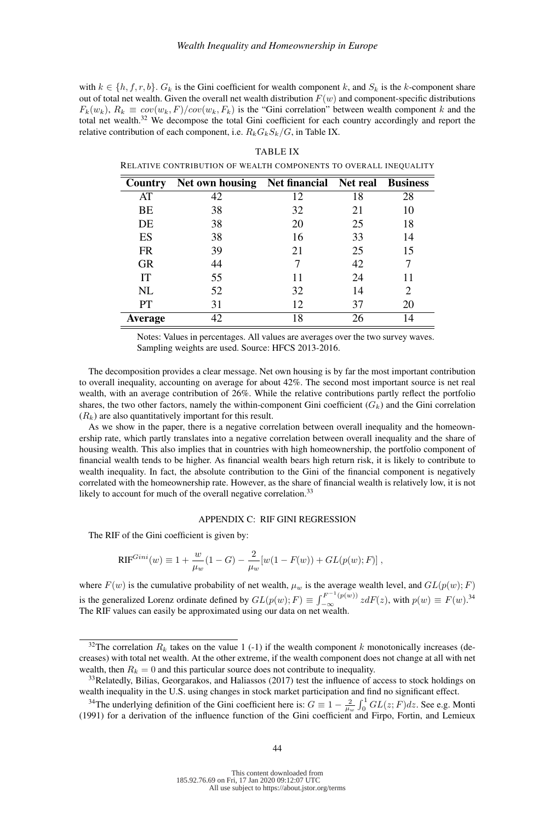with  $k \in \{h, f, r, b\}$ .  $G_k$  is the Gini coefficient for wealth component k, and  $S_k$  is the k-component share out of total net wealth. Given the overall net wealth distribution  $F(w)$  and component-specific distributions  $F_k(w_k)$ ,  $R_k \equiv cov(w_k, F)/cov(w_k, F_k)$  is the "Gini correlation" between wealth component k and the total net wealth.<sup>32</sup> We decompose the total Gini coefficient for each country accordingly and report the relative contribution of each component, i.e.  $R_k G_k S_k / G$ , in Table IX.

| <b>Country</b> | <b>Net own housing Net financial Net real Business</b> |    |    |    |
|----------------|--------------------------------------------------------|----|----|----|
| AT             | 42                                                     | 12 | 18 | 28 |
| BE             | 38                                                     | 32 | 21 | 10 |
| DE             | 38                                                     | 20 | 25 | 18 |
| ES             | 38                                                     | 16 | 33 | 14 |
| <b>FR</b>      | 39                                                     | 21 | 25 | 15 |
| <b>GR</b>      | 44                                                     |    | 42 |    |
| IT             | 55                                                     | 11 | 24 | 11 |
| NL             | 52                                                     | 32 | 14 | 2  |
| PT             | 31                                                     | 12 | 37 | 20 |
| <b>Average</b> | 42                                                     | 18 | 26 | 14 |

TABLE IX RELATIVE CONTRIBUTION OF WEALTH COMPONENTS TO OVERALL INEQUALITY

Notes: Values in percentages. All values are averages over the two survey waves. Sampling weights are used. Source: HFCS 2013-2016.

The decomposition provides a clear message. Net own housing is by far the most important contribution to overall inequality, accounting on average for about 42%. The second most important source is net real wealth, with an average contribution of 26%. While the relative contributions partly reflect the portfolio shares, the two other factors, namely the within-component Gini coefficient  $(G_k)$  and the Gini correlation  $(R_k)$  are also quantitatively important for this result.

As we show in the paper, there is a negative correlation between overall inequality and the homeownership rate, which partly translates into a negative correlation between overall inequality and the share of housing wealth. This also implies that in countries with high homeownership, the portfolio component of financial wealth tends to be higher. As financial wealth bears high return risk, it is likely to contribute to wealth inequality. In fact, the absolute contribution to the Gini of the financial component is negatively correlated with the homeownership rate. However, as the share of financial wealth is relatively low, it is not likely to account for much of the overall negative correlation.<sup>33</sup>

### APPENDIX C: RIF GINI REGRESSION

The RIF of the Gini coefficient is given by:

$$
RIF^{Gini}(w) \equiv 1 + \frac{w}{\mu_w} (1 - G) - \frac{2}{\mu_w} [w(1 - F(w)) + GL(p(w); F)],
$$

where  $F(w)$  is the cumulative probability of net wealth,  $\mu_w$  is the average wealth level, and  $GL(p(w); F)$ is the generalized Lorenz ordinate defined by  $GL(p(w); F) \equiv \int_{-\infty}^{F^{-1}(p(w))} z dF(z)$ , with  $p(w) \equiv F(w).$ <sup>34</sup> The RIF values can easily be approximated using our data on net wealth.

<sup>&</sup>lt;sup>32</sup>The correlation  $R_k$  takes on the value 1 (-1) if the wealth component k monotonically increases (decreases) with total net wealth. At the other extreme, if the wealth component does not change at all with net wealth, then  $R_k = 0$  and this particular source does not contribute to inequality.

<sup>&</sup>lt;sup>33</sup>Relatedly, Bilias, Georgarakos, and Haliassos (2017) test the influence of access to stock holdings on wealth inequality in the U.S. using changes in stock market participation and find no significant effect.

<sup>&</sup>lt;sup>34</sup>The underlying definition of the Gini coefficient here is:  $G \equiv 1 - \frac{2}{\mu_w} \int_0^1 GL(z;F)dz$ . See e.g. Monti (1991) for a derivation of the influence function of the Gini coefficient and Firpo, Fortin, and Lemieux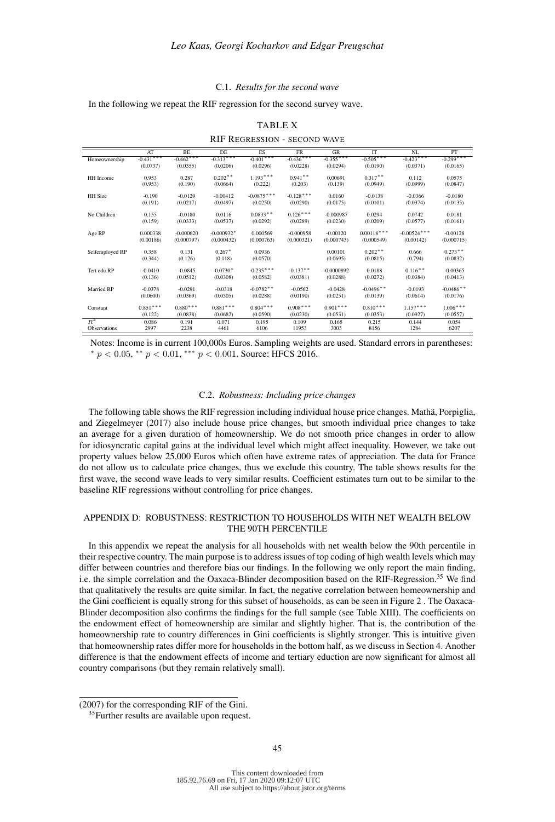#### C.1. *Results for the second wave*

In the following we repeat the RIF regression for the second survey wave.

|                     | AT          | BF          | DF           | ES           | FR          | GF           | TT           | $\overline{\text{N}}$ | PT          |
|---------------------|-------------|-------------|--------------|--------------|-------------|--------------|--------------|-----------------------|-------------|
| Homeownership       | $-0.431***$ | $-0.462***$ | $-0.313***$  | $-0.401***$  | $-0.436***$ | $-0.355***$  | $-0.505***$  | $-0.423***$           | $-0.299***$ |
|                     | (0.0737)    | (0.0355)    | (0.0206)     | (0.0296)     | (0.0228)    | (0.0294)     | (0.0190)     | (0.0371)              | (0.0165)    |
|                     |             |             |              |              |             |              |              |                       |             |
| HH Income           | 0.953       | 0.287       | $0.202**$    | $1.193***$   | $0.941**$   | 0.00691      | $0.317**$    | 0.112                 | 0.0575      |
|                     | (0.953)     | (0.190)     | (0.0664)     | (0.222)      | (0.203)     | (0.139)      | (0.0949)     | (0.0999)              | (0.0847)    |
| <b>HH</b> Size      | $-0.190$    | $-0.0129$   | $-0.00412$   | $-0.0875***$ | $-0.128***$ | 0.0160       | $-0.0138$    | $-0.0366$             | $-0.0180$   |
|                     |             |             | (0.0497)     | (0.0250)     |             | (0.0175)     | (0.0101)     | (0.0374)              |             |
|                     | (0.191)     | (0.0217)    |              |              | (0.0290)    |              |              |                       | (0.0135)    |
| No Children         | 0.155       | $-0.0180$   | 0.0116       | $0.0833**$   | $0.126***$  | $-0.000987$  | 0.0294       | 0.0742                | 0.0181      |
|                     | (0.159)     | (0.0333)    | (0.0537)     | (0.0292)     | (0.0289)    | (0.0230)     | (0.0209)     | (0.0577)              | (0.0161)    |
|                     |             |             |              |              |             |              |              |                       |             |
| Age RP              | 0.000338    | $-0.000620$ | $-0.000932*$ | 0.000569     | $-0.000958$ | $-0.00120$   | $0.00118***$ | $-0.00524***$         | $-0.00128$  |
|                     | (0.00186)   | (0.000797)  | (0.000432)   | (0.000763)   | (0.000321)  | (0.000743)   | (0.000549)   | (0.00142)             | (0.000715)  |
|                     |             |             |              |              |             |              |              |                       |             |
| Selfemployed RP     | 0.358       | 0.131       | $0.267*$     | 0.0936       |             | 0.00101      | $0.202$ **   | 0.666                 | $0.273**$   |
|                     | (0.344)     | (0.126)     | (0.118)      | (0.0570)     |             | (0.0695)     | (0.0815)     | (0.794)               | (0.0832)    |
|                     |             |             | $-0.0730*$   | $-0.235***$  | $-0.137**$  |              |              |                       |             |
| Tert edu RP         | $-0.0410$   | $-0.0845$   |              |              |             | $-0.0000892$ | 0.0188       | $0.116***$            | $-0.00365$  |
|                     | (0.136)     | (0.0512)    | (0.0308)     | (0.0582)     | (0.0381)    | (0.0288)     | (0.0272)     | (0.0384)              | (0.0413)    |
| Married RP          | $-0.0378$   | $-0.0291$   | $-0.0318$    | $-0.0782**$  | $-0.0562$   | $-0.0428$    | $-0.0496**$  | $-0.0193$             | $-0.0486**$ |
|                     | (0.0600)    | (0.0369)    | (0.0305)     | (0.0288)     | (0.0190)    | (0.0251)     | (0.0139)     | (0.0614)              | (0.0176)    |
|                     |             |             |              |              |             |              |              |                       |             |
| Constant            | $0.851***$  | $0.880***$  | $0.881***$   | $0.804***$   | $0.908***$  | $0.901***$   | $0.810***$   | $1.157***$            | $1.006***$  |
|                     | (0.122)     | (0.0838)    | (0.0682)     | (0.0590)     | (0.0230)    | (0.0531)     | (0.0353)     | (0.0927)              | (0.0557)    |
| $R^2$               | 0.086       | 0.191       | 0.071        | 0.195        | 0.109       | 0.165        | 0.215        | 0.144                 | 0.054       |
| <b>Observations</b> | 2997        | 2238        | 4461         | 6106         | 11953       | 3003         | 8156         | 1284                  | 6207        |
|                     |             |             |              |              |             |              |              |                       |             |

TABLE X RIF REGRESSION - SECOND WAVE

Notes: Income is in current 100,000s Euros. Sampling weights are used. Standard errors in parentheses:  $* p < 0.05$ ,  $* p < 0.01$ ,  $** p < 0.001$ . Source: HFCS 2016.

#### C.2. *Robustness: Including price changes*

The following table shows the RIF regression including individual house price changes. Mathä, Porpiglia, and Ziegelmeyer (2017) also include house price changes, but smooth individual price changes to take an average for a given duration of homeownership. We do not smooth price changes in order to allow for idiosyncratic capital gains at the individual level which might affect inequality. However, we take out property values below 25,000 Euros which often have extreme rates of appreciation. The data for France do not allow us to calculate price changes, thus we exclude this country. The table shows results for the first wave, the second wave leads to very similar results. Coefficient estimates turn out to be similar to the baseline RIF regressions without controlling for price changes.

### APPENDIX D: ROBUSTNESS: RESTRICTION TO HOUSEHOLDS WITH NET WEALTH BELOW THE 90TH PERCENTILE

In this appendix we repeat the analysis for all households with net wealth below the 90th percentile in their respective country. The main purpose is to address issues of top coding of high wealth levels which may differ between countries and therefore bias our findings. In the following we only report the main finding, i.e. the simple correlation and the Oaxaca-Blinder decomposition based on the RIF-Regression.<sup>35</sup> We find that qualitatively the results are quite similar. In fact, the negative correlation between homeownership and the Gini coefficient is equally strong for this subset of households, as can be seen in Figure 2 . The Oaxaca-Blinder decomposition also confirms the findings for the full sample (see Table XIII). The coefficients on the endowment effect of homeownership are similar and slightly higher. That is, the contribution of the homeownership rate to country differences in Gini coefficients is slightly stronger. This is intuitive given that homeownership rates differ more for households in the bottom half, as we discuss in Section 4. Another difference is that the endowment effects of income and tertiary eduction are now significant for almost all country comparisons (but they remain relatively small).

<sup>(2007)</sup> for the corresponding RIF of the Gini.

<sup>&</sup>lt;sup>35</sup> Further results are available upon request.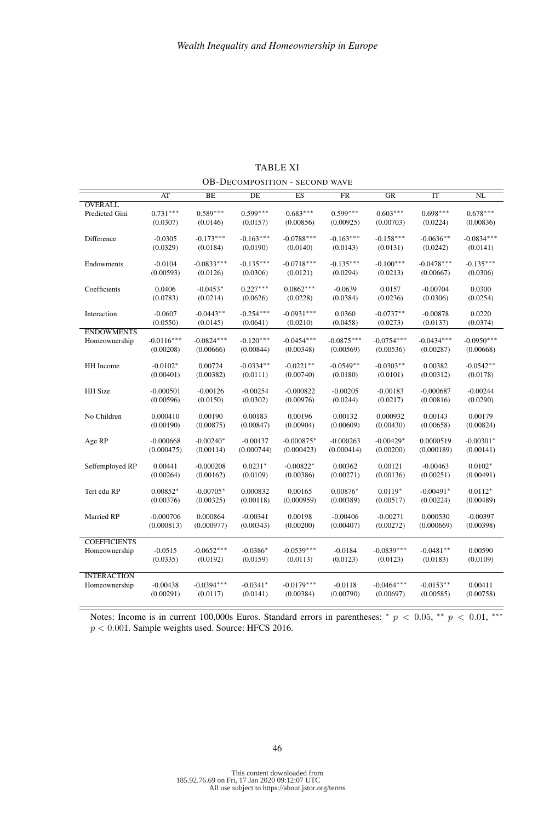|                     | AT           | BE           | DE          | $\overline{ES}$ | <b>FR</b>    | GR           | IT           | NL           |
|---------------------|--------------|--------------|-------------|-----------------|--------------|--------------|--------------|--------------|
| <b>OVERALL</b>      |              |              |             |                 |              |              |              |              |
| Predicted Gini      | $0.731***$   | $0.589***$   | $0.599***$  | $0.683***$      | $0.599***$   | $0.603***$   | $0.698***$   | $0.678***$   |
|                     | (0.0307)     | (0.0146)     | (0.0157)    | (0.00856)       | (0.00925)    | (0.00703)    | (0.0224)     | (0.00836)    |
|                     |              |              |             |                 |              |              |              |              |
| Difference          | $-0.0305$    | $-0.173***$  | $-0.163***$ | $-0.0788***$    | $-0.163***$  | $-0.158***$  | $-0.0636**$  | $-0.0834***$ |
|                     | (0.0329)     | (0.0184)     | (0.0190)    | (0.0140)        | (0.0143)     | (0.0131)     | (0.0242)     | (0.0141)     |
|                     |              |              |             |                 |              |              |              |              |
| Endowments          | $-0.0104$    | $-0.0833***$ | $-0.135***$ | $-0.0718***$    | $-0.135***$  | $-0.100***$  | $-0.0478***$ | $-0.135***$  |
|                     | (0.00593)    | (0.0126)     | (0.0306)    | (0.0121)        | (0.0294)     | (0.0213)     | (0.00667)    | (0.0306)     |
|                     |              |              |             |                 |              |              |              |              |
| Coefficients        | 0.0406       | $-0.0453*$   | $0.227***$  | $0.0862***$     | $-0.0639$    | 0.0157       | $-0.00704$   | 0.0300       |
|                     | (0.0783)     | (0.0214)     | (0.0626)    | (0.0228)        | (0.0384)     | (0.0236)     | (0.0306)     | (0.0254)     |
| Interaction         | $-0.0607$    | $-0.0443**$  | $-0.254***$ | $-0.0931***$    | 0.0360       | $-0.0737**$  | $-0.00878$   | 0.0220       |
|                     | (0.0550)     | (0.0145)     | (0.0641)    | (0.0210)        | (0.0458)     | (0.0273)     | (0.0137)     | (0.0374)     |
| <b>ENDOWMENTS</b>   |              |              |             |                 |              |              |              |              |
| Homeownership       | $-0.0116***$ | $-0.0824***$ | $-0.120***$ | $-0.0454***$    | $-0.0875***$ | $-0.0754***$ | $-0.0434***$ | $-0.0950***$ |
|                     | (0.00208)    | (0.00666)    | (0.00844)   | (0.00348)       | (0.00569)    | (0.00536)    | (0.00287)    | (0.00668)    |
|                     |              |              |             |                 |              |              |              |              |
| HH Income           | $-0.0102*$   | 0.00724      | $-0.0334**$ | $-0.0221**$     | $-0.0549**$  | $-0.0303**$  | 0.00382      | $-0.0542**$  |
|                     | (0.00401)    | (0.00382)    | (0.0111)    | (0.00740)       | (0.0180)     | (0.0101)     | (0.00312)    | (0.0178)     |
|                     |              |              |             |                 |              |              |              |              |
| HH Size             | $-0.000501$  | $-0.00126$   | $-0.00254$  | $-0.000822$     | $-0.00205$   | $-0.00183$   | $-0.000687$  | $-0.00244$   |
|                     | (0.00596)    | (0.0150)     | (0.0302)    | (0.00976)       | (0.0244)     | (0.0217)     | (0.00816)    | (0.0290)     |
|                     |              |              |             |                 |              |              |              |              |
| No Children         | 0.000410     | 0.00190      | 0.00183     | 0.00196         | 0.00132      | 0.000932     | 0.00143      | 0.00179      |
|                     | (0.00190)    | (0.00875)    | (0.00847)   | (0.00904)       | (0.00609)    | (0.00430)    | (0.00658)    | (0.00824)    |
| Age RP              | $-0.000668$  | $-0.00240*$  | $-0.00137$  | $-0.000875*$    | $-0.000263$  | $-0.00429*$  | 0.0000519    | $-0.00301*$  |
|                     | (0.000475)   | (0.00114)    | (0.000744)  | (0.000423)      | (0.000414)   | (0.00200)    | (0.000189)   | (0.00141)    |
|                     |              |              |             |                 |              |              |              |              |
| Selfemployed RP     | 0.00441      | $-0.000208$  | $0.0231*$   | $-0.00822*$     | 0.00362      | 0.00121      | $-0.00463$   | $0.0102*$    |
|                     | (0.00264)    | (0.00162)    | (0.0109)    | (0.00386)       | (0.00271)    | (0.00136)    | (0.00251)    | (0.00491)    |
|                     |              |              |             |                 |              |              |              |              |
| Tert edu RP         | $0.00852*$   | $-0.00705*$  | 0.000832    | 0.00165         | $0.00876*$   | $0.0119*$    | $-0.00491*$  | $0.0112*$    |
|                     | (0.00376)    | (0.00325)    | (0.00118)   | (0.000959)      | (0.00389)    | (0.00517)    | (0.00224)    | (0.00489)    |
|                     |              |              |             |                 |              |              |              |              |
| Married RP          | $-0.000706$  | 0.000864     | $-0.00341$  | 0.00198         | $-0.00406$   | $-0.00271$   | 0.000530     | $-0.00397$   |
|                     | (0.000813)   | (0.000977)   | (0.00343)   | (0.00200)       | (0.00407)    | (0.00272)    | (0.000669)   | (0.00398)    |
| <b>COEFFICIENTS</b> |              |              |             |                 |              |              |              |              |
|                     | $-0.0515$    | $-0.0652***$ | $-0.0386*$  | $-0.0539***$    | $-0.0184$    | $-0.0839***$ | $-0.0481**$  | 0.00590      |
| Homeownership       |              |              |             |                 |              |              |              |              |
|                     | (0.0335)     | (0.0192)     | (0.0159)    | (0.0113)        | (0.0123)     | (0.0123)     | (0.0183)     | (0.0109)     |
| <b>INTERACTION</b>  |              |              |             |                 |              |              |              |              |
| Homeownership       | $-0.00438$   | $-0.0394***$ | $-0.0341*$  | $-0.0179***$    | $-0.0118$    | $-0.0464***$ | $-0.0153**$  | 0.00411      |
|                     | (0.00291)    | (0.0117)     | (0.0141)    | (0.00384)       | (0.00790)    | (0.00697)    | (0.00585)    | (0.00758)    |
|                     |              |              |             |                 |              |              |              |              |

TABLE XI OB-DECOMPOSITION - SECOND WAVE

Notes: Income is in current 100,000s Euros. Standard errors in parentheses: \*  $p < 0.05$ , \*\*  $p < 0.01$ , \*\*\*  $p < 0.001$  . Sample weights used. Source: HFCS 2016.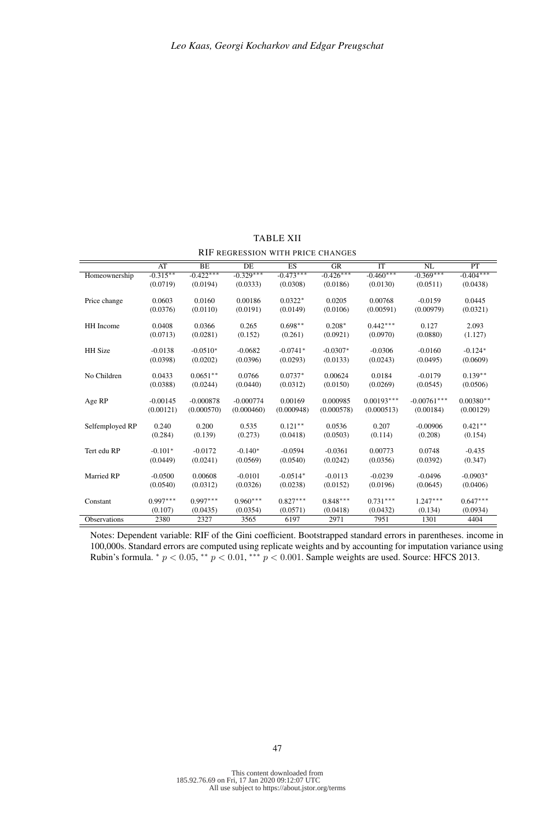|                     | AT         | <b>BE</b>   | <b>DE</b>   | ES          | GR          | <b>IT</b>    | NL            | PT          |
|---------------------|------------|-------------|-------------|-------------|-------------|--------------|---------------|-------------|
| Homeownership       | $-0.315**$ | $-0.422***$ | $-0.329***$ | $-0.473***$ | $-0.426***$ | $-0.460***$  | $-0.369***$   | $-0.404***$ |
|                     | (0.0719)   | (0.0194)    | (0.0333)    | (0.0308)    | (0.0186)    | (0.0130)     | (0.0511)      | (0.0438)    |
| Price change        | 0.0603     | 0.0160      | 0.00186     | $0.0322*$   | 0.0205      | 0.00768      | $-0.0159$     | 0.0445      |
|                     | (0.0376)   | (0.0110)    | (0.0191)    | (0.0149)    | (0.0106)    | (0.00591)    | (0.00979)     | (0.0321)    |
| HH Income           | 0.0408     | 0.0366      | 0.265       | $0.698**$   | $0.208*$    | $0.442***$   | 0.127         | 2.093       |
|                     | (0.0713)   | (0.0281)    | (0.152)     | (0.261)     | (0.0921)    | (0.0970)     | (0.0880)      | (1.127)     |
| <b>HH</b> Size      | $-0.0138$  | $-0.0510*$  | $-0.0682$   | $-0.0741*$  | $-0.0307*$  | $-0.0306$    | $-0.0160$     | $-0.124*$   |
|                     | (0.0398)   | (0.0202)    | (0.0396)    | (0.0293)    | (0.0133)    | (0.0243)     | (0.0495)      | (0.0609)    |
| No Children         | 0.0433     | $0.0651**$  | 0.0766      | $0.0737*$   | 0.00624     | 0.0184       | $-0.0179$     | $0.139**$   |
|                     | (0.0388)   | (0.0244)    | (0.0440)    | (0.0312)    | (0.0150)    | (0.0269)     | (0.0545)      | (0.0506)    |
| Age RP              | $-0.00145$ | $-0.000878$ | $-0.000774$ | 0.00169     | 0.000985    | $0.00193***$ | $-0.00761***$ | $0.00380**$ |
|                     | (0.00121)  | (0.000570)  | (0.000460)  | (0.000948)  | (0.000578)  | (0.000513)   | (0.00184)     | (0.00129)   |
| Selfemployed RP     | 0.240      | 0.200       | 0.535       | $0.121**$   | 0.0536      | 0.207        | $-0.00906$    | $0.421**$   |
|                     | (0.284)    | (0.139)     | (0.273)     | (0.0418)    | (0.0503)    | (0.114)      | (0.208)       | (0.154)     |
| Tert edu RP         | $-0.101*$  | $-0.0172$   | $-0.140*$   | $-0.0594$   | $-0.0361$   | 0.00773      | 0.0748        | $-0.435$    |
|                     | (0.0449)   | (0.0241)    | (0.0569)    | (0.0540)    | (0.0242)    | (0.0356)     | (0.0392)      | (0.347)     |
| Married RP          | $-0.0500$  | 0.00608     | $-0.0101$   | $-0.0514*$  | $-0.0113$   | $-0.0239$    | $-0.0496$     | $-0.0903*$  |
|                     | (0.0540)   | (0.0312)    | (0.0326)    | (0.0238)    | (0.0152)    | (0.0196)     | (0.0645)      | (0.0406)    |
| Constant            | $0.997***$ | $0.997***$  | $0.960***$  | $0.827***$  | $0.848***$  | $0.731***$   | $1.247***$    | $0.647***$  |
|                     | (0.107)    | (0.0435)    | (0.0354)    | (0.0571)    | (0.0418)    | (0.0432)     | (0.134)       | (0.0934)    |
| <b>Observations</b> | 2380       | 2327        | 3565        | 6197        | 2971        | 7951         | 1301          | 4404        |

TABLE XII RIF REGRESSION WITH PRICE CHANGES

Notes: Dependent variable: RIF of the Gini coefficient. Bootstrapped standard errors in parentheses. income in 100,000s. Standard errors are computed using replicate weights and by accounting for imputation variance using Rubin's formula.  $* p < 0.05, ** p < 0.01, *** p < 0.001$ . Sample weights are used. Source: HFCS 2013.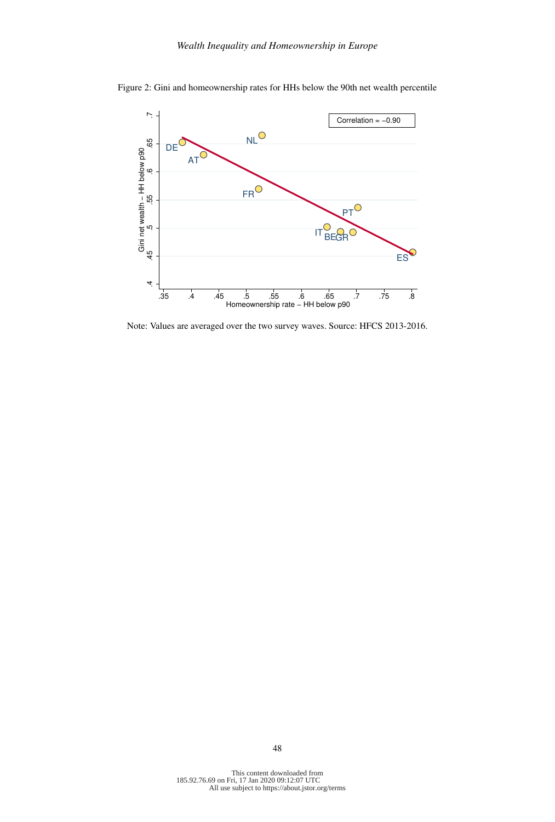

Figure 2: Gini and homeownership rates for HHs below the 90th net wealth percentile

Note: Values are averaged over the two survey waves. Source: HFCS 2013-2016.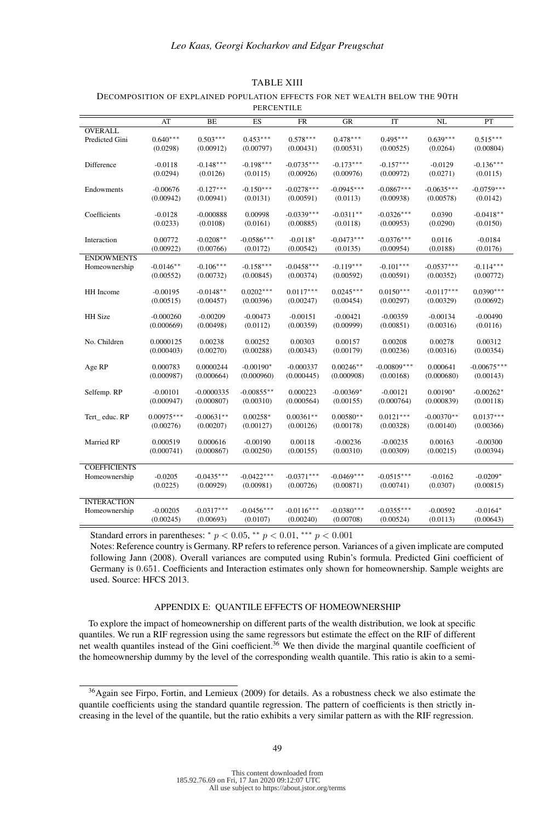### *Leo Kaas, Georgi Kocharkov and Edgar Preugschat*

|                     |              |              | PERCENTILE      |              |              |               |              |               |
|---------------------|--------------|--------------|-----------------|--------------|--------------|---------------|--------------|---------------|
|                     | AT           | BE           | $\overline{ES}$ | FR           | GR           | IT            | NL           | PT            |
| <b>OVERALL</b>      |              |              |                 |              |              |               |              |               |
| Predicted Gini      | $0.640***$   | $0.503***$   | $0.453***$      | $0.578***$   | $0.478***$   | $0.495***$    | $0.639***$   | $0.515***$    |
|                     | (0.0298)     | (0.00912)    | (0.00797)       | (0.00431)    | (0.00531)    | (0.00525)     | (0.0264)     | (0.00804)     |
|                     |              |              |                 |              |              |               |              |               |
| Difference          | $-0.0118$    | $-0.148***$  | $-0.198***$     | $-0.0735***$ | $-0.173***$  | $-0.157***$   | $-0.0129$    | $-0.136***$   |
|                     | (0.0294)     | (0.0126)     | (0.0115)        | (0.00926)    | (0.00976)    | (0.00972)     | (0.0271)     | (0.0115)      |
|                     |              |              |                 |              |              |               |              |               |
| Endowments          | $-0.00676$   | $-0.127***$  | $-0.150***$     | $-0.0278***$ | $-0.0945***$ | $-0.0867***$  | $-0.0635***$ | $-0.0759***$  |
|                     | (0.00942)    | (0.00941)    | (0.0131)        | (0.00591)    | (0.0113)     | (0.00938)     | (0.00578)    | (0.0142)      |
|                     |              |              |                 |              |              |               |              |               |
| Coefficients        | $-0.0128$    | $-0.000888$  | 0.00998         | $-0.0339***$ | $-0.0311**$  | $-0.0326***$  | 0.0390       | $-0.0418**$   |
|                     | (0.0233)     | (0.0108)     | (0.0161)        | (0.00885)    | (0.0118)     | (0.00953)     | (0.0290)     | (0.0150)      |
|                     |              |              |                 |              |              |               |              |               |
| Interaction         | 0.00772      | $-0.0208**$  | $-0.0586***$    | $-0.0118*$   | $-0.0473***$ | $-0.0376***$  | 0.0116       | $-0.0184$     |
|                     | (0.00922)    | (0.00766)    | (0.0172)        | (0.00542)    | (0.0135)     | (0.00954)     | (0.0188)     | (0.0176)      |
| <b>ENDOWMENTS</b>   |              |              |                 |              |              |               |              |               |
| Homeownership       | $-0.0146**$  | $-0.106***$  | $-0.158***$     | $-0.0458***$ | $-0.119***$  | $-0.101***$   | $-0.0537***$ | $-0.114***$   |
|                     | (0.00552)    | (0.00732)    | (0.00845)       | (0.00374)    | (0.00592)    | (0.00591)     | (0.00352)    | (0.00772)     |
|                     |              |              |                 |              |              |               |              |               |
| HH Income           | $-0.00195$   | $-0.0148**$  | $0.0202***$     | $0.0117***$  | $0.0245***$  | $0.0150***$   | $-0.0117***$ | $0.0390***$   |
|                     | (0.00515)    | (0.00457)    | (0.00396)       | (0.00247)    | (0.00454)    | (0.00297)     | (0.00329)    | (0.00692)     |
|                     |              |              |                 |              |              |               |              |               |
| HH Size             | $-0.000260$  | $-0.00209$   | $-0.00473$      | $-0.00151$   | $-0.00421$   | $-0.00359$    | $-0.00134$   | $-0.00490$    |
|                     | (0.000669)   | (0.00498)    | (0.0112)        | (0.00359)    | (0.00999)    | (0.00851)     | (0.00316)    | (0.0116)      |
|                     |              |              |                 |              |              |               |              |               |
| No. Children        | 0.0000125    | 0.00238      | 0.00252         | 0.00303      | 0.00157      | 0.00208       | 0.00278      | 0.00312       |
|                     | (0.000403)   | (0.00270)    | (0.00288)       | (0.00343)    | (0.00179)    | (0.00236)     | (0.00316)    | (0.00354)     |
|                     | 0.000783     | 0.0000244    | $-0.00190*$     | $-0.000337$  | $0.00246**$  | $-0.00809***$ | 0.000641     | $-0.00675***$ |
| Age RP              | (0.000987)   | (0.000664)   | (0.000960)      | (0.000445)   | (0.000908)   | (0.00168)     | (0.000680)   |               |
|                     |              |              |                 |              |              |               |              | (0.00143)     |
| Selfemp. RP         | $-0.00101$   | $-0.0000335$ | $-0.00855**$    | 0.000223     | $-0.00369*$  | $-0.00121$    | $0.00190*$   | $-0.00262*$   |
|                     | (0.000947)   | (0.000807)   | (0.00310)       | (0.000564)   | (0.00155)    | (0.000764)    | (0.000839)   | (0.00118)     |
|                     |              |              |                 |              |              |               |              |               |
| Tert_educ.RP        | $0.00975***$ | $-0.00631**$ | $0.00258*$      | $0.00361**$  | $0.00580**$  | $0.0121***$   | $-0.00370**$ | $0.0137***$   |
|                     | (0.00276)    | (0.00207)    | (0.00127)       | (0.00126)    | (0.00178)    | (0.00328)     | (0.00140)    | (0.00366)     |
|                     |              |              |                 |              |              |               |              |               |
| Married RP          | 0.000519     | 0.000616     | $-0.00190$      | 0.00118      | $-0.00236$   | $-0.00235$    | 0.00163      | $-0.00300$    |
|                     | (0.000741)   | (0.000867)   | (0.00250)       | (0.00155)    | (0.00310)    | (0.00309)     | (0.00215)    | (0.00394)     |
|                     |              |              |                 |              |              |               |              |               |
| <b>COEFFICIENTS</b> |              |              |                 |              |              |               |              |               |
| Homeownership       | $-0.0205$    | $-0.0435***$ | $-0.0422***$    | $-0.0371***$ | $-0.0469***$ | $-0.0515***$  | $-0.0162$    | $-0.0209*$    |
|                     | (0.0225)     | (0.00929)    | (0.00981)       | (0.00726)    | (0.00871)    | (0.00741)     | (0.0307)     | (0.00815)     |
|                     |              |              |                 |              |              |               |              |               |
| <b>INTERACTION</b>  |              |              |                 |              |              |               |              |               |
| Homeownership       | $-0.00205$   | $-0.0317***$ | $-0.0456***$    | $-0.0116***$ | $-0.0380***$ | $-0.0355***$  | $-0.00592$   | $-0.0164*$    |
|                     | (0.00245)    | (0.00693)    | (0.0107)        | (0.00240)    | (0.00708)    | (0.00524)     | (0.0113)     | (0.00643)     |

### TABLE XIII

## DECOMPOSITION OF EXPLAINED POPULATION EFFECTS FOR NET WEALTH BELOW THE 90TH

Standard errors in parentheses:  $* p < 0.05$ ,  $* p < 0.01$ ,  $** p < 0.001$ 

Notes: Reference country is Germany. RP refers to reference person. Variances of a given implicate are computed following Jann (2008). Overall variances are computed using Rubin's formula. Predicted Gini coefficient of Germany is 0.651. Coefficients and Interaction estimates only shown for homeownership. Sample weights are used. Source: HFCS 2013.

### APPENDIX E: QUANTILE EFFECTS OF HOMEOWNERSHIP

To explore the impact of homeownership on different parts of the wealth distribution, we look at specific quantiles. We run a RIF regression using the same regressors but estimate the effect on the RIF of different net wealth quantiles instead of the Gini coefficient.<sup>36</sup> We then divide the marginal quantile coefficient of the homeownership dummy by the level of the corresponding wealth quantile. This ratio is akin to a semi-

<sup>36</sup>Again see Firpo, Fortin, and Lemieux (2009) for details. As a robustness check we also estimate the quantile coefficients using the standard quantile regression. The pattern of coefficients is then strictly increasing in the level of the quantile, but the ratio exhibits a very similar pattern as with the RIF regression.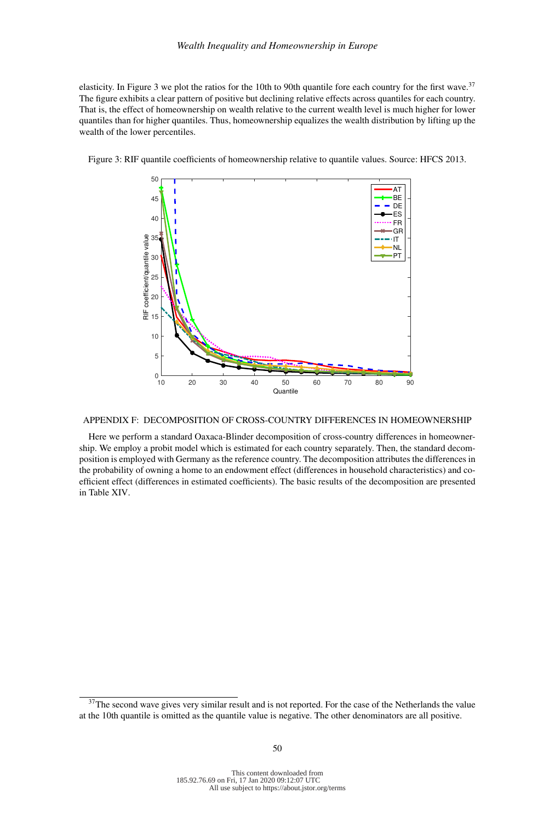elasticity. In Figure 3 we plot the ratios for the 10th to 90th quantile fore each country for the first wave.<sup>37</sup> The figure exhibits a clear pattern of positive but declining relative effects across quantiles for each country. That is, the effect of homeownership on wealth relative to the current wealth level is much higher for lower quantiles than for higher quantiles. Thus, homeownership equalizes the wealth distribution by lifting up the wealth of the lower percentiles.



Figure 3: RIF quantile coefficients of homeownership relative to quantile values. Source: HFCS 2013.

## APPENDIX F: DECOMPOSITION OF CROSS-COUNTRY DIFFERENCES IN HOMEOWNERSHIP

Here we perform a standard Oaxaca-Blinder decomposition of cross-country differences in homeownership. We employ a probit model which is estimated for each country separately. Then, the standard decomposition is employed with Germany as the reference country. The decomposition attributes the differences in the probability of owning a home to an endowment effect (differences in household characteristics) and coefficient effect (differences in estimated coefficients). The basic results of the decomposition are presented in Table XIV.

<sup>&</sup>lt;sup>37</sup>The second wave gives very similar result and is not reported. For the case of the Netherlands the value at the 10th quantile is omitted as the quantile value is negative. The other denominators are all positive.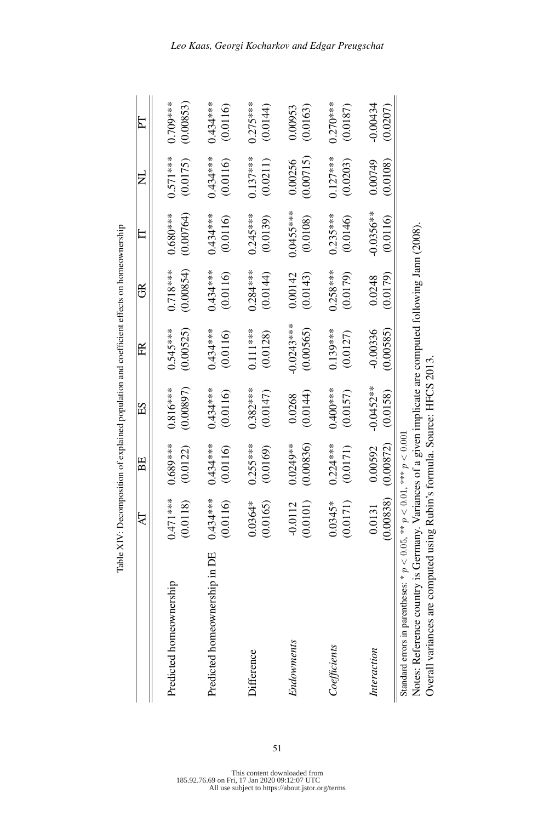|                                                                                | $\Delta$                                                 | BE                     | ES                      | FR                      | $\mathfrak{B}$          | $\Box$                  | $\Xi$                  | $\Gamma$                |
|--------------------------------------------------------------------------------|----------------------------------------------------------|------------------------|-------------------------|-------------------------|-------------------------|-------------------------|------------------------|-------------------------|
| Predicted homeownership                                                        | $\stackrel{*}{*}$<br>(0.0118)<br>$0.471**$               | $0.689***$<br>(0.0122) | $0.816***$<br>(0.00897) | (0.00525)<br>$0.545***$ | (0.00854)<br>$0.718***$ | (0.00764)<br>$0.680***$ | $0.571***$<br>(0.0175) | $0.709***$<br>(0.00853) |
| Predicted homeownership in DE                                                  | $\stackrel{\textstyle{*}}{\ast}$<br>(0.0116)<br>$0.434*$ | 0.434****<br>(0.0116)  | 0.434 ***<br>(0.0116)   | 0.434****<br>(0.0116)   | $0.434***$<br>(0.0116)  | 0.434 ***<br>(0.0116)   | $0.434***$<br>(0.0116) | 0.434***<br>(0.0116)    |
| Difference                                                                     | (0.0165)                                                 | $0.255***$             | $0.382***$              | $0.111***$              | $0.284***$              | $0.245***$              | $0.137***$             | $0.275***$              |
|                                                                                | $0.0364*$                                                | (0.0169)               | (0.0147)                | (0.0128)                | (0.0144)                | (0.0139)                | (0.0211)               | (0.0144)                |
| Endowments                                                                     | (0.0101)                                                 | (0.00836)              | (0.0144)                | $-0.0243***$            | (0.0143)                | 0.0455 ***              | (0.00715)              | (0.0163)                |
|                                                                                | $-0.0112$                                                | 0.0249**               | 0.0268                  | (0.00565)               | 0.00142                 | (0.0108)                | 0.00256                | 0.00953                 |
| Coefficients                                                                   | (0.0171)                                                 | $0.224***$             | $0.400***$              | $0.139***$              | $0.258***$              | $0.235***$              | $0.127***$             | $0.270***$              |
|                                                                                | $0.0345*$                                                | (0.0171)               | (0.0157)                | (0.0127)                | (0.0179)                | (0.0146)                | (0.0203)               | (0.0187)                |
| Interaction                                                                    | (0.00838)                                                | (0.00872)              | $-0.0452***$            | (0.00585)               | (0.0179)                | $-0.0356**$             | 0.00749                | $-0.00434$              |
|                                                                                | 0.013                                                    | 0.00592                | (0.0158)                | $-0.00336$              | 0.0248                  | (0.0116)                | (0.0108)               | (0.0207)                |
| Standard errors in parentheses: * $p < 0.05$ , ** $p < 0.01$ , *** $p < 0.001$ |                                                          |                        |                         |                         |                         |                         |                        |                         |

Table XIV: Decomposition of explained population and coefficient effects on homeownership Table XIV: Decomposition of explained population and coefficient effects on homeownership

185.92.76.69 on Fri, 17 Jan 2020 09:12:07 UTC All use subject to https://about.jstor.org/terms

51

Standard errors in parentheses: \*  $p < 0.05$ , \*\*  $p < 0.01$ , \*\*\*  $p < 0.001$ 

Notes: Reference country is Germany. Variances of a given implicate are computed following Jann (2008).

Notes: Reference country is Germany. Variances of a given implicate are computed following Jann (2008).

Overall variances are computed using Rubin's formula. Source: HFCS 2013.

Overall variances are computed using Rubin's formula. Source: HFCS 2013.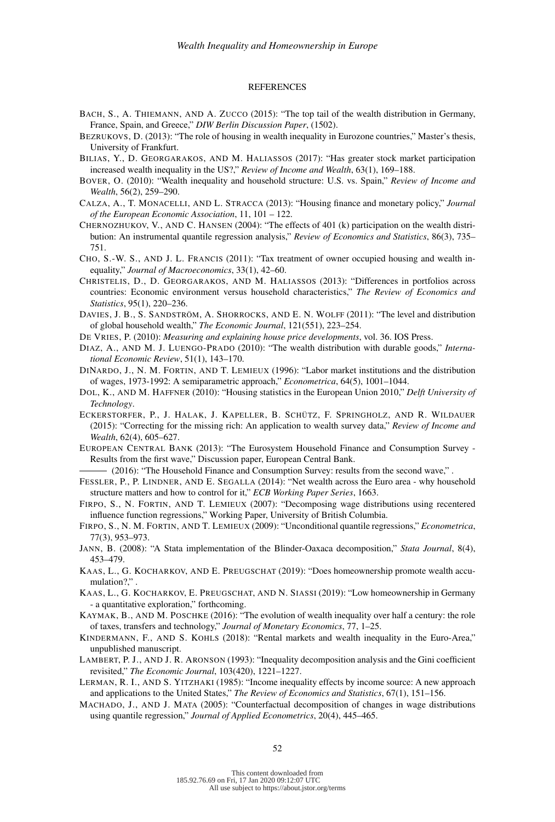#### REFERENCES

- BACH, S., A. THIEMANN, AND A. ZUCCO (2015): "The top tail of the wealth distribution in Germany, France, Spain, and Greece," *DIW Berlin Discussion Paper*, (1502).
- BEZRUKOVS, D. (2013): "The role of housing in wealth inequality in Eurozone countries," Master's thesis, University of Frankfurt.
- BILIAS, Y., D. GEORGARAKOS, AND M. HALIASSOS (2017): "Has greater stock market participation increased wealth inequality in the US?," *Review of Income and Wealth*, 63(1), 169–188.
- BOVER, O. (2010): "Wealth inequality and household structure: U.S. vs. Spain," *Review of Income and Wealth*, 56(2), 259–290.
- CALZA, A., T. MONACELLI, AND L. STRACCA (2013): "Housing finance and monetary policy," *Journal of the European Economic Association*, 11, 101 – 122.
- CHERNOZHUKOV, V., AND C. HANSEN (2004): "The effects of 401 (k) participation on the wealth distribution: An instrumental quantile regression analysis," *Review of Economics and Statistics*, 86(3), 735– 751.
- CHO, S.-W. S., AND J. L. FRANCIS (2011): "Tax treatment of owner occupied housing and wealth inequality," *Journal of Macroeconomics*, 33(1), 42–60.
- CHRISTELIS, D., D. GEORGARAKOS, AND M. HALIASSOS (2013): "Differences in portfolios across countries: Economic environment versus household characteristics," *The Review of Economics and Statistics*, 95(1), 220–236.
- DAVIES, J. B., S. SANDSTRÖM, A. SHORROCKS, AND E. N. WOLFF (2011): "The level and distribution of global household wealth," *The Economic Journal*, 121(551), 223–254.
- DE VRIES, P. (2010): *Measuring and explaining house price developments*, vol. 36. IOS Press.
- DIAZ, A., AND M. J. LUENGO-PRADO (2010): "The wealth distribution with durable goods," *International Economic Review*, 51(1), 143–170.
- DINARDO, J., N. M. FORTIN, AND T. LEMIEUX (1996): "Labor market institutions and the distribution of wages, 1973-1992: A semiparametric approach," *Econometrica*, 64(5), 1001–1044.
- DOL, K., AND M. HAFFNER (2010): "Housing statistics in the European Union 2010," *Delft University of Technology*.
- ECKERSTORFER, P., J. HALAK, J. KAPELLER, B. SCHÜTZ, F. SPRINGHOLZ, AND R. WILDAUER (2015): "Correcting for the missing rich: An application to wealth survey data," *Review of Income and Wealth*, 62(4), 605–627.
- EUROPEAN CENTRAL BANK (2013): "The Eurosystem Household Finance and Consumption Survey Results from the first wave," Discussion paper, European Central Bank.

(2016): "The Household Finance and Consumption Survey: results from the second wave," .

- FESSLER, P., P. LINDNER, AND E. SEGALLA (2014): "Net wealth across the Euro area why household structure matters and how to control for it," *ECB Working Paper Series*, 1663.
- FIRPO, S., N. FORTIN, AND T. LEMIEUX (2007): "Decomposing wage distributions using recentered influence function regressions," Working Paper, University of British Columbia.
- FIRPO, S., N. M. FORTIN, AND T. LEMIEUX (2009): "Unconditional quantile regressions," *Econometrica*, 77(3), 953–973.
- JANN, B. (2008): "A Stata implementation of the Blinder-Oaxaca decomposition," *Stata Journal*, 8(4), 453–479.
- KAAS, L., G. KOCHARKOV, AND E. PREUGSCHAT (2019): "Does homeownership promote wealth accumulation?,".
- KAAS, L., G. KOCHARKOV, E. PREUGSCHAT, AND N. SIASSI (2019): "Low homeownership in Germany - a quantitative exploration," forthcoming.
- KAYMAK, B., AND M. POSCHKE (2016): "The evolution of wealth inequality over half a century: the role of taxes, transfers and technology," *Journal of Monetary Economics*, 77, 1–25.
- KINDERMANN, F., AND S. KOHLS (2018): "Rental markets and wealth inequality in the Euro-Area," unpublished manuscript.
- LAMBERT, P. J., AND J. R. ARONSON (1993): "Inequality decomposition analysis and the Gini coefficient revisited," *The Economic Journal*, 103(420), 1221–1227.
- LERMAN, R. I., AND S. YITZHAKI (1985): "Income inequality effects by income source: A new approach and applications to the United States," *The Review of Economics and Statistics*, 67(1), 151–156.
- MACHADO, J., AND J. MATA (2005): "Counterfactual decomposition of changes in wage distributions using quantile regression," *Journal of Applied Econometrics*, 20(4), 445–465.